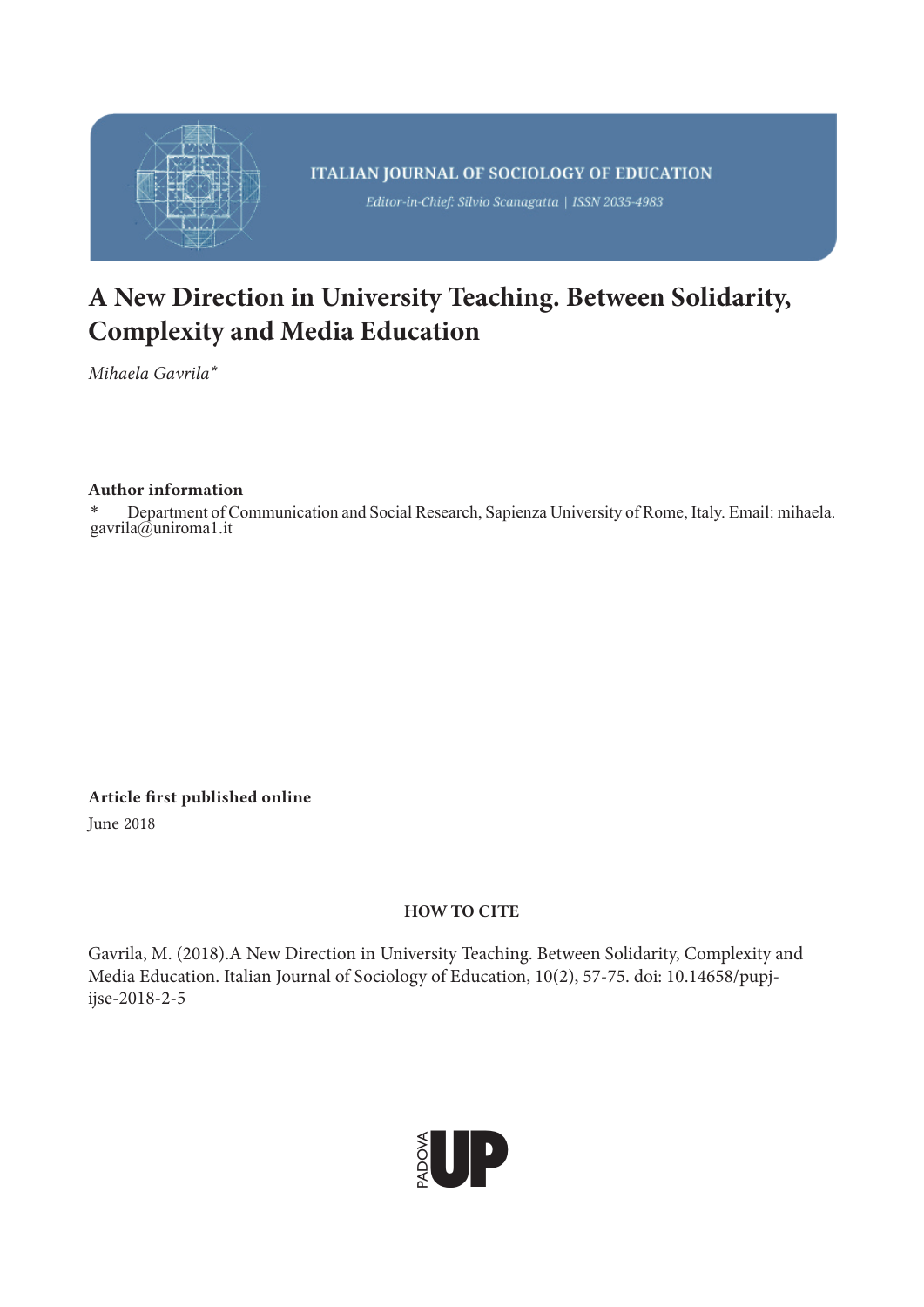

# **A New Direction in University Teaching. Between Solidarity, Complexity and Media Education**

*Mihaela Gavrila\**

# Author information

\* Department of Communication and Social Research, Sapienza University of Rome, Italy. Email: mihaela. gavrila@uniroma1.it

Article first published online June 2018

ijse-2018-2-5

HOW TO CITE

Gavrila, M. (2018).A New Direction in University Teaching. Between Solidarity, Complexity and Media Education. Italian Journal of Sociology of Education, 10(2), 57-75. doi: 10.14658/pupj-

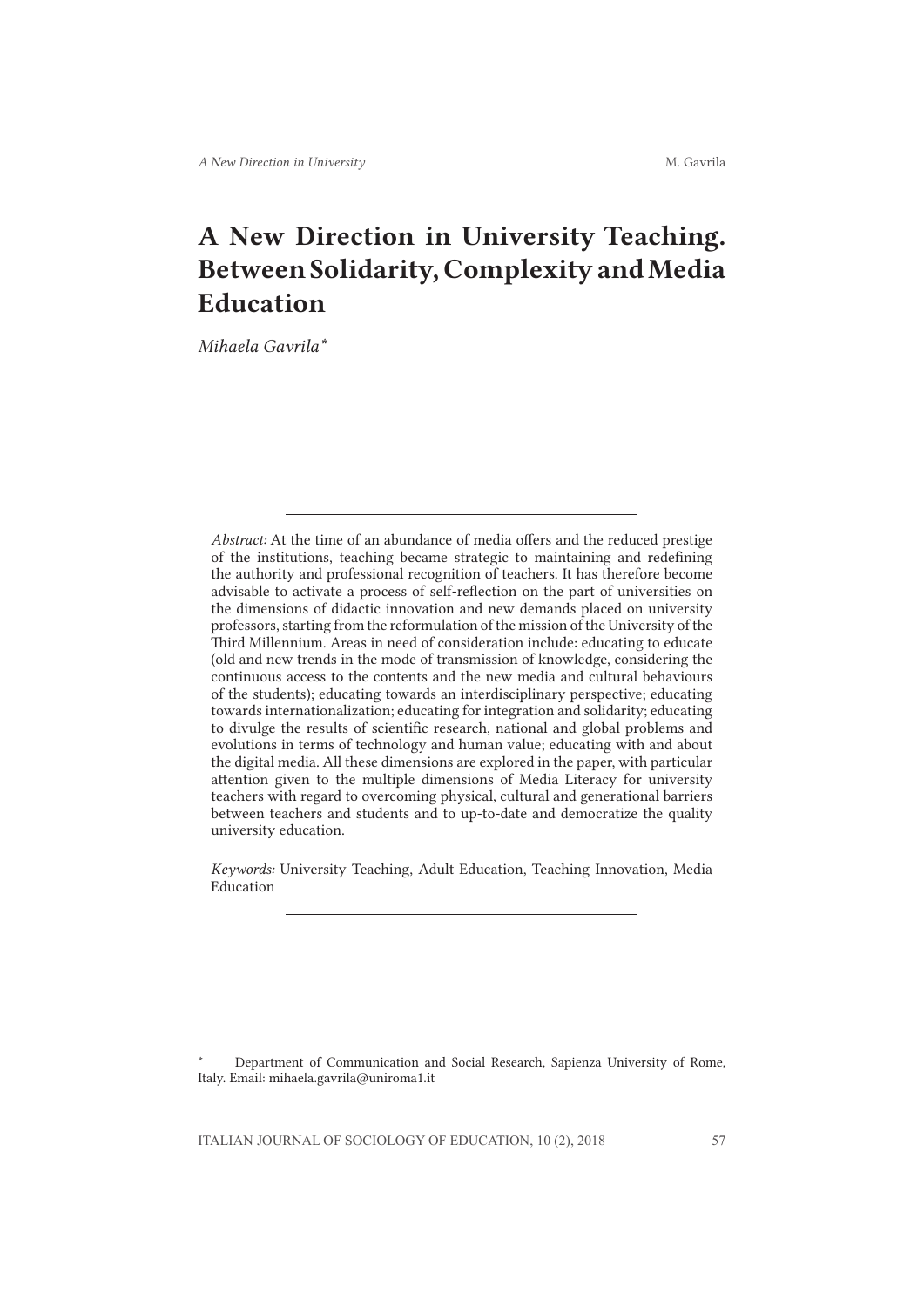# A New Direction in University Teaching. Between Solidarity, Complexity and Media Education

*Mihaela Gavrila\**

*Abstract:* At the time of an abundance of media offers and the reduced prestige of the institutions, teaching became strategic to maintaining and redefining the authority and professional recognition of teachers. It has therefore become advisable to activate a process of self-reflection on the part of universities on the dimensions of didactic innovation and new demands placed on university professors, starting from the reformulation of the mission of the University of the Third Millennium. Areas in need of consideration include: educating to educate (old and new trends in the mode of transmission of knowledge, considering the continuous access to the contents and the new media and cultural behaviours of the students); educating towards an interdisciplinary perspective; educating towards internationalization; educating for integration and solidarity; educating to divulge the results of scientific research, national and global problems and evolutions in terms of technology and human value; educating with and about the digital media. All these dimensions are explored in the paper, with particular attention given to the multiple dimensions of Media Literacy for university teachers with regard to overcoming physical, cultural and generational barriers between teachers and students and to up-to-date and democratize the quality university education.

*Keywords:* University Teaching, Adult Education, Teaching Innovation, Media Education

\* Department of Communication and Social Research, Sapienza University of Rome, Italy. Email: mihaela.gavrila@uniroma1.it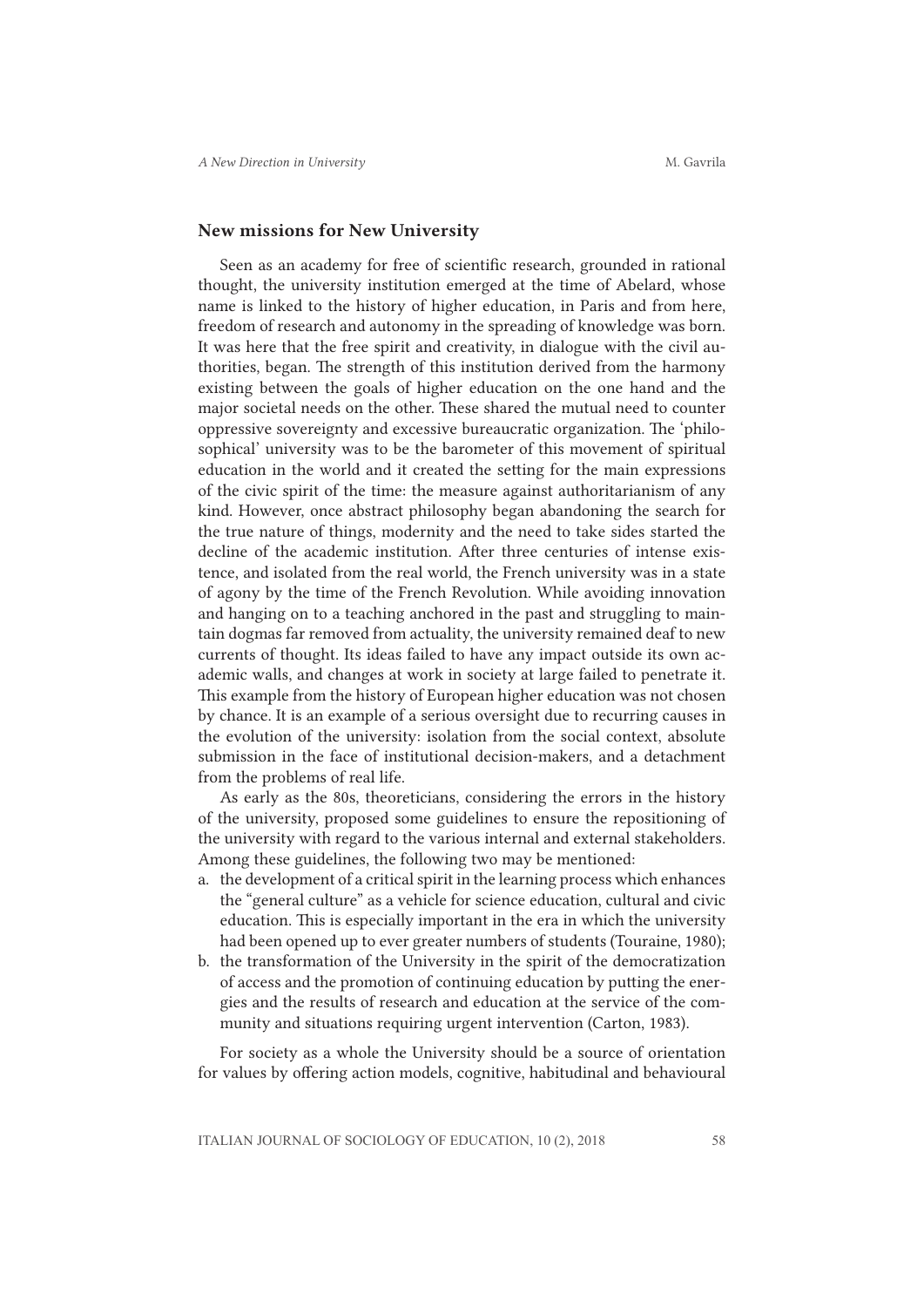## New missions for New University

Seen as an academy for free of scientific research, grounded in rational thought, the university institution emerged at the time of Abelard, whose name is linked to the history of higher education, in Paris and from here, freedom of research and autonomy in the spreading of knowledge was born. It was here that the free spirit and creativity, in dialogue with the civil authorities, began. The strength of this institution derived from the harmony existing between the goals of higher education on the one hand and the major societal needs on the other. These shared the mutual need to counter oppressive sovereignty and excessive bureaucratic organization. The 'philosophical' university was to be the barometer of this movement of spiritual education in the world and it created the setting for the main expressions of the civic spirit of the time: the measure against authoritarianism of any kind. However, once abstract philosophy began abandoning the search for the true nature of things, modernity and the need to take sides started the decline of the academic institution. After three centuries of intense existence, and isolated from the real world, the French university was in a state of agony by the time of the French Revolution. While avoiding innovation and hanging on to a teaching anchored in the past and struggling to maintain dogmas far removed from actuality, the university remained deaf to new currents of thought. Its ideas failed to have any impact outside its own academic walls, and changes at work in society at large failed to penetrate it. This example from the history of European higher education was not chosen by chance. It is an example of a serious oversight due to recurring causes in the evolution of the university: isolation from the social context, absolute submission in the face of institutional decision-makers, and a detachment from the problems of real life.

As early as the 80s, theoreticians, considering the errors in the history of the university, proposed some guidelines to ensure the repositioning of the university with regard to the various internal and external stakeholders. Among these guidelines, the following two may be mentioned:

- a. the development of a critical spirit in the learning process which enhances the "general culture" as a vehicle for science education, cultural and civic education. This is especially important in the era in which the university had been opened up to ever greater numbers of students (Touraine, 1980);
- b. the transformation of the University in the spirit of the democratization of access and the promotion of continuing education by putting the energies and the results of research and education at the service of the community and situations requiring urgent intervention (Carton, 1983).

For society as a whole the University should be a source of orientation for values by offering action models, cognitive, habitudinal and behavioural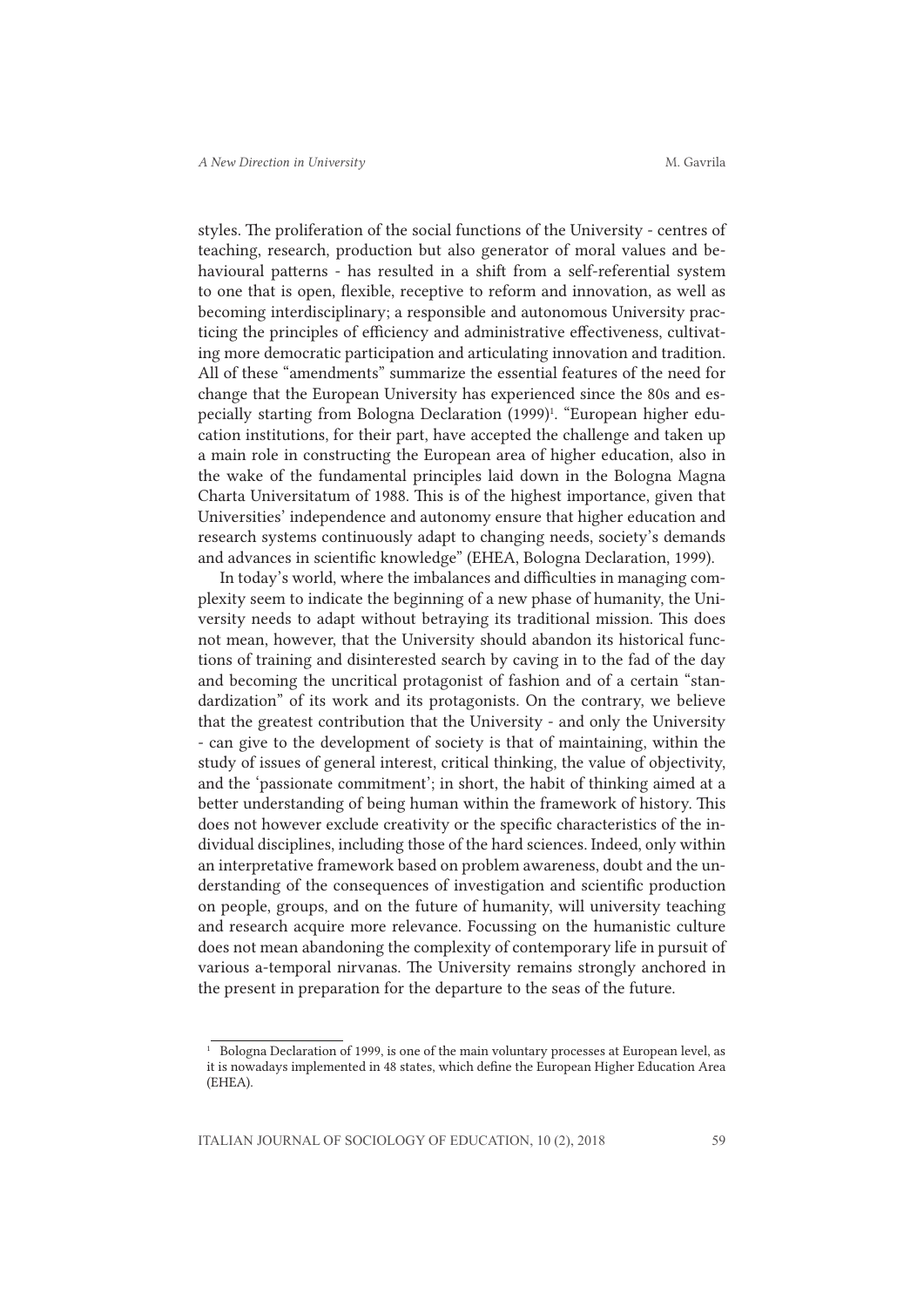styles. The proliferation of the social functions of the University - centres of teaching, research, production but also generator of moral values and behavioural patterns - has resulted in a shift from a self-referential system to one that is open, flexible, receptive to reform and innovation, as well as becoming interdisciplinary; a responsible and autonomous University practicing the principles of efficiency and administrative effectiveness, cultivating more democratic participation and articulating innovation and tradition. All of these "amendments" summarize the essential features of the need for change that the European University has experienced since the 80s and especially starting from Bologna Declaration (1999)<sup>1</sup>. "European higher education institutions, for their part, have accepted the challenge and taken up a main role in constructing the European area of higher education, also in the wake of the fundamental principles laid down in the Bologna Magna Charta Universitatum of 1988. This is of the highest importance, given that Universities' independence and autonomy ensure that higher education and research systems continuously adapt to changing needs, society's demands and advances in scientific knowledge" (EHEA, Bologna Declaration, 1999).

In today's world, where the imbalances and difficulties in managing complexity seem to indicate the beginning of a new phase of humanity, the University needs to adapt without betraying its traditional mission. This does not mean, however, that the University should abandon its historical functions of training and disinterested search by caving in to the fad of the day and becoming the uncritical protagonist of fashion and of a certain "standardization" of its work and its protagonists. On the contrary, we believe that the greatest contribution that the University - and only the University - can give to the development of society is that of maintaining, within the study of issues of general interest, critical thinking, the value of objectivity, and the 'passionate commitment'; in short, the habit of thinking aimed at a better understanding of being human within the framework of history. This does not however exclude creativity or the specific characteristics of the individual disciplines, including those of the hard sciences. Indeed, only within an interpretative framework based on problem awareness, doubt and the understanding of the consequences of investigation and scientific production on people, groups, and on the future of humanity, will university teaching and research acquire more relevance. Focussing on the humanistic culture does not mean abandoning the complexity of contemporary life in pursuit of various a-temporal nirvanas. The University remains strongly anchored in the present in preparation for the departure to the seas of the future.

<sup>&</sup>lt;sup>1</sup> Bologna Declaration of 1999, is one of the main voluntary processes at European level, as it is nowadays implemented in 48 states, which define the European Higher Education Area (EHEA).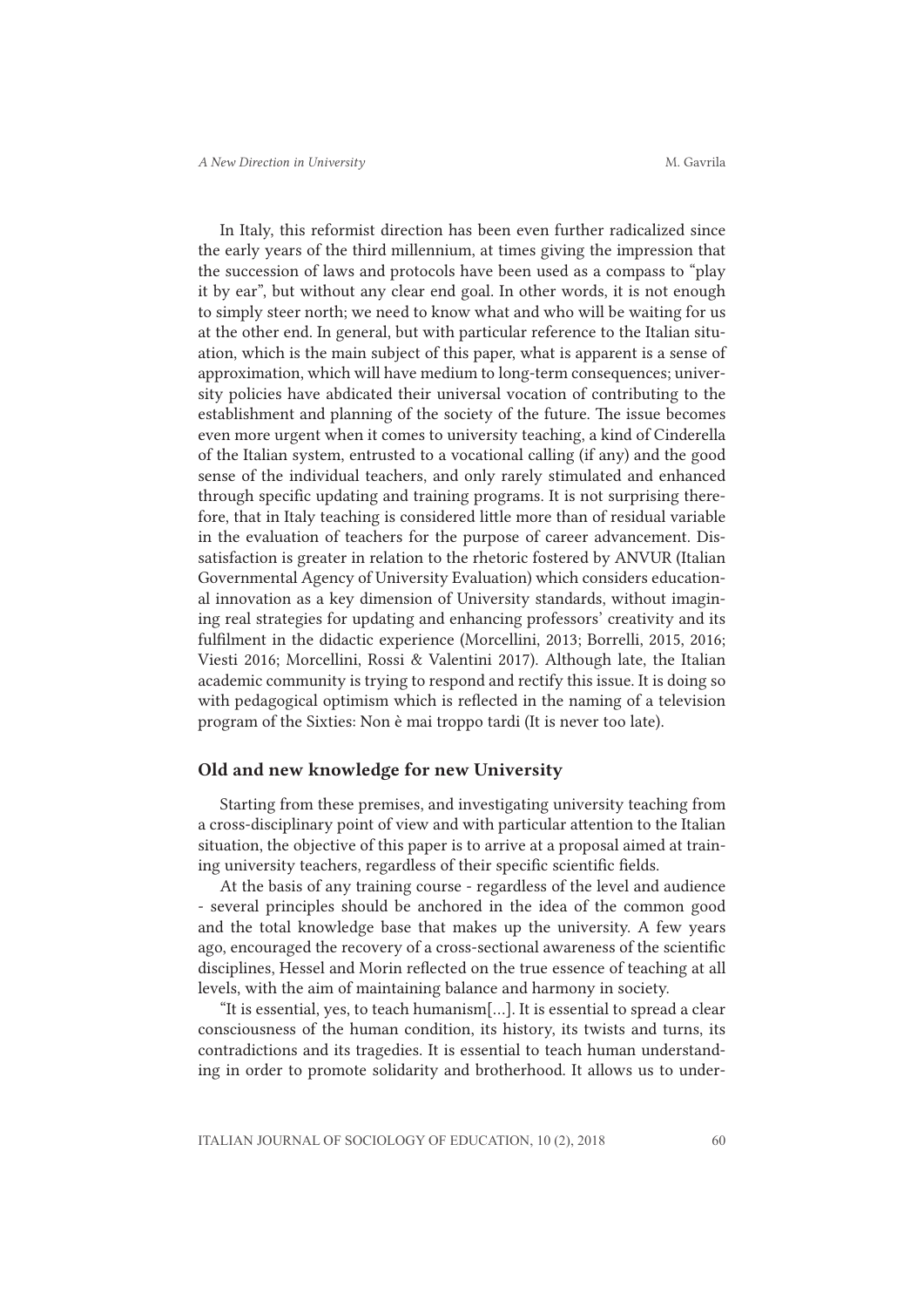In Italy, this reformist direction has been even further radicalized since the early years of the third millennium, at times giving the impression that the succession of laws and protocols have been used as a compass to "play it by ear", but without any clear end goal. In other words, it is not enough to simply steer north; we need to know what and who will be waiting for us at the other end. In general, but with particular reference to the Italian situation, which is the main subject of this paper, what is apparent is a sense of approximation, which will have medium to long-term consequences; university policies have abdicated their universal vocation of contributing to the establishment and planning of the society of the future. The issue becomes even more urgent when it comes to university teaching, a kind of Cinderella of the Italian system, entrusted to a vocational calling (if any) and the good sense of the individual teachers, and only rarely stimulated and enhanced through specific updating and training programs. It is not surprising therefore, that in Italy teaching is considered little more than of residual variable in the evaluation of teachers for the purpose of career advancement. Dissatisfaction is greater in relation to the rhetoric fostered by ANVUR (Italian Governmental Agency of University Evaluation) which considers educational innovation as a key dimension of University standards, without imagining real strategies for updating and enhancing professors' creativity and its fulfilment in the didactic experience (Morcellini, 2013; Borrelli, 2015, 2016; Viesti 2016; Morcellini, Rossi & Valentini 2017). Although late, the Italian academic community is trying to respond and rectify this issue. It is doing so with pedagogical optimism which is reflected in the naming of a television program of the Sixties: Non è mai troppo tardi (It is never too late).

#### Old and new knowledge for new University

Starting from these premises, and investigating university teaching from a cross-disciplinary point of view and with particular attention to the Italian situation, the objective of this paper is to arrive at a proposal aimed at training university teachers, regardless of their specific scientific fields.

At the basis of any training course - regardless of the level and audience - several principles should be anchored in the idea of the common good and the total knowledge base that makes up the university. A few years ago, encouraged the recovery of a cross-sectional awareness of the scientific disciplines, Hessel and Morin reflected on the true essence of teaching at all levels, with the aim of maintaining balance and harmony in society.

"It is essential, yes, to teach humanism[…]. It is essential to spread a clear consciousness of the human condition, its history, its twists and turns, its contradictions and its tragedies. It is essential to teach human understanding in order to promote solidarity and brotherhood. It allows us to under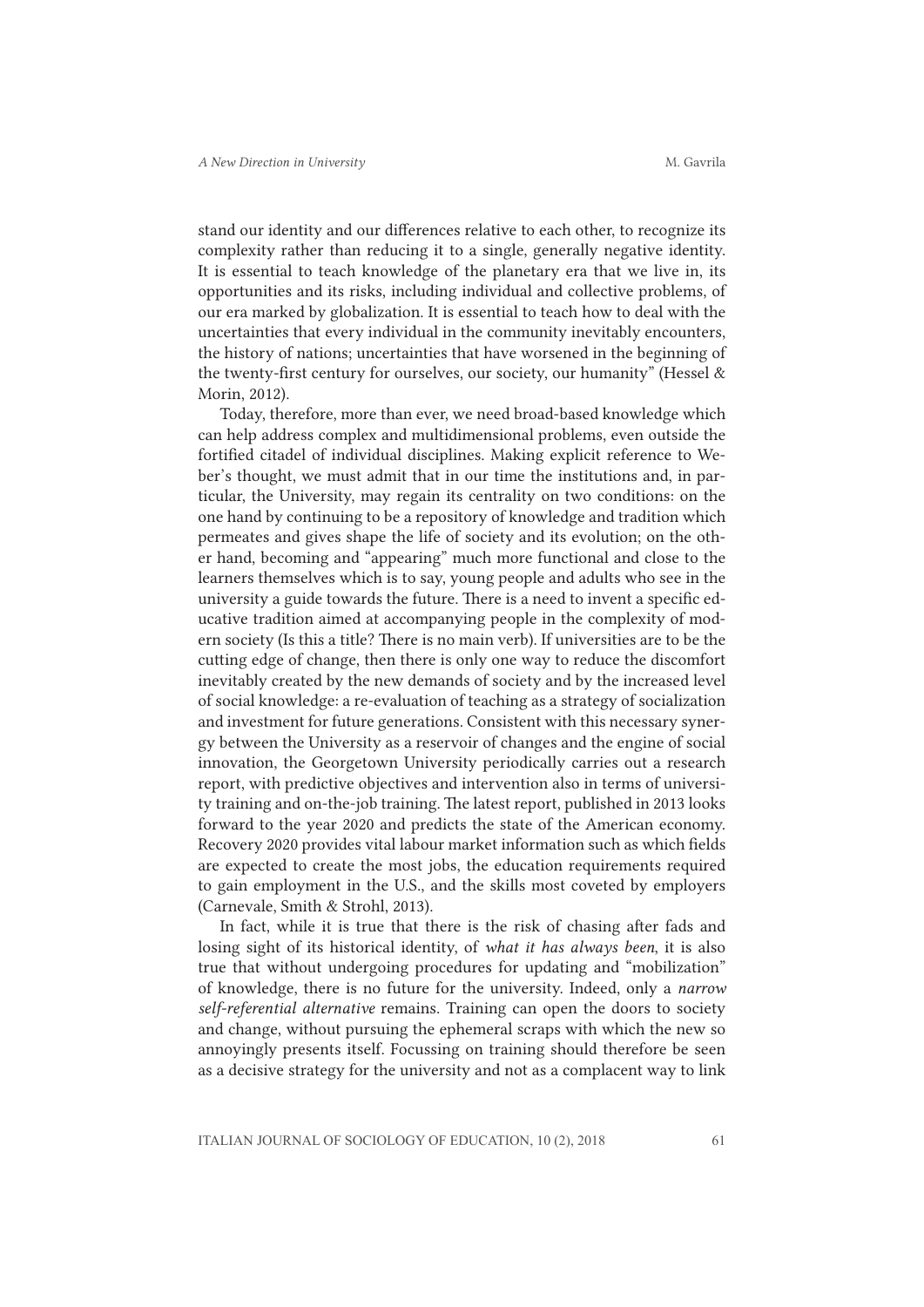stand our identity and our differences relative to each other, to recognize its complexity rather than reducing it to a single, generally negative identity. It is essential to teach knowledge of the planetary era that we live in, its opportunities and its risks, including individual and collective problems, of our era marked by globalization. It is essential to teach how to deal with the uncertainties that every individual in the community inevitably encounters, the history of nations; uncertainties that have worsened in the beginning of the twenty-first century for ourselves, our society, our humanity" (Hessel & Morin, 2012).

Today, therefore, more than ever, we need broad-based knowledge which can help address complex and multidimensional problems, even outside the fortified citadel of individual disciplines. Making explicit reference to Weber's thought, we must admit that in our time the institutions and, in particular, the University, may regain its centrality on two conditions: on the one hand by continuing to be a repository of knowledge and tradition which permeates and gives shape the life of society and its evolution; on the other hand, becoming and "appearing" much more functional and close to the learners themselves which is to say, young people and adults who see in the university a guide towards the future. There is a need to invent a specific educative tradition aimed at accompanying people in the complexity of modern society (Is this a title? There is no main verb). If universities are to be the cutting edge of change, then there is only one way to reduce the discomfort inevitably created by the new demands of society and by the increased level of social knowledge: a re-evaluation of teaching as a strategy of socialization and investment for future generations. Consistent with this necessary synergy between the University as a reservoir of changes and the engine of social innovation, the Georgetown University periodically carries out a research report, with predictive objectives and intervention also in terms of university training and on-the-job training. The latest report, published in 2013 looks forward to the year 2020 and predicts the state of the American economy. Recovery 2020 provides vital labour market information such as which fields are expected to create the most jobs, the education requirements required to gain employment in the U.S., and the skills most coveted by employers (Carnevale, Smith & Strohl, 2013).

In fact, while it is true that there is the risk of chasing after fads and losing sight of its historical identity, of *what it has always been*, it is also true that without undergoing procedures for updating and "mobilization" of knowledge, there is no future for the university. Indeed, only a *narrow self-referential alternative* remains. Training can open the doors to society and change, without pursuing the ephemeral scraps with which the new so annoyingly presents itself. Focussing on training should therefore be seen as a decisive strategy for the university and not as a complacent way to link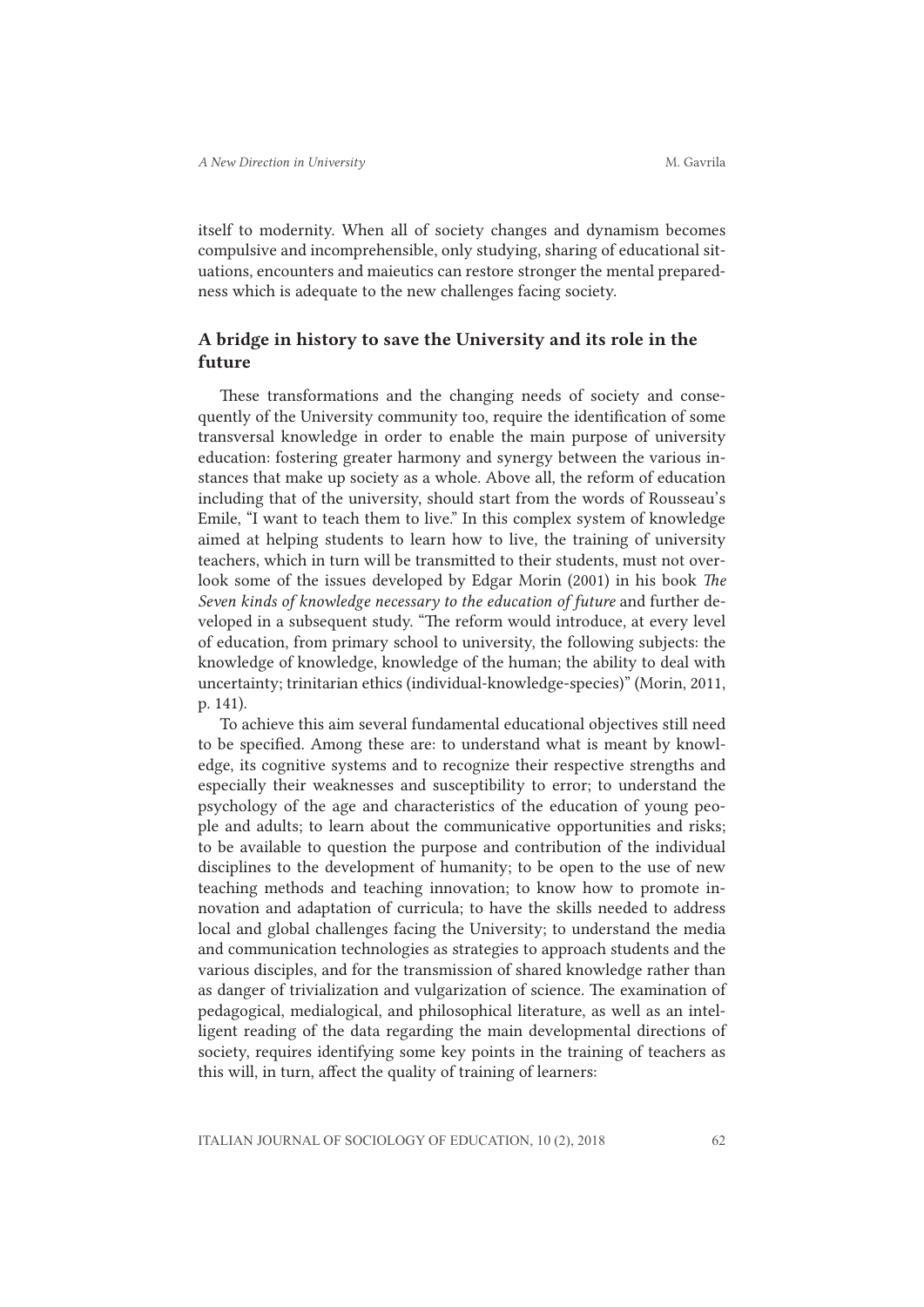itself to modernity. When all of society changes and dynamism becomes compulsive and incomprehensible, only studying, sharing of educational situations, encounters and maieutics can restore stronger the mental preparedness which is adequate to the new challenges facing society.

# A bridge in history to save the University and its role in the future

These transformations and the changing needs of society and consequently of the University community too, require the identification of some transversal knowledge in order to enable the main purpose of university education: fostering greater harmony and synergy between the various instances that make up society as a whole. Above all, the reform of education including that of the university, should start from the words of Rousseau's Emile, "I want to teach them to live." In this complex system of knowledge aimed at helping students to learn how to live, the training of university teachers, which in turn will be transmitted to their students, must not overlook some of the issues developed by Edgar Morin (2001) in his book *The Seven kinds of knowledge necessary to the education of future* and further developed in a subsequent study. "The reform would introduce, at every level of education, from primary school to university, the following subjects: the knowledge of knowledge, knowledge of the human; the ability to deal with uncertainty; trinitarian ethics (individual-knowledge-species)" (Morin, 2011, p. 141).

To achieve this aim several fundamental educational objectives still need to be specified. Among these are: to understand what is meant by knowledge, its cognitive systems and to recognize their respective strengths and especially their weaknesses and susceptibility to error; to understand the psychology of the age and characteristics of the education of young people and adults; to learn about the communicative opportunities and risks; to be available to question the purpose and contribution of the individual disciplines to the development of humanity; to be open to the use of new teaching methods and teaching innovation; to know how to promote innovation and adaptation of curricula; to have the skills needed to address local and global challenges facing the University; to understand the media and communication technologies as strategies to approach students and the various disciples, and for the transmission of shared knowledge rather than as danger of trivialization and vulgarization of science. The examination of pedagogical, medialogical, and philosophical literature, as well as an intelligent reading of the data regarding the main developmental directions of society, requires identifying some key points in the training of teachers as this will, in turn, affect the quality of training of learners: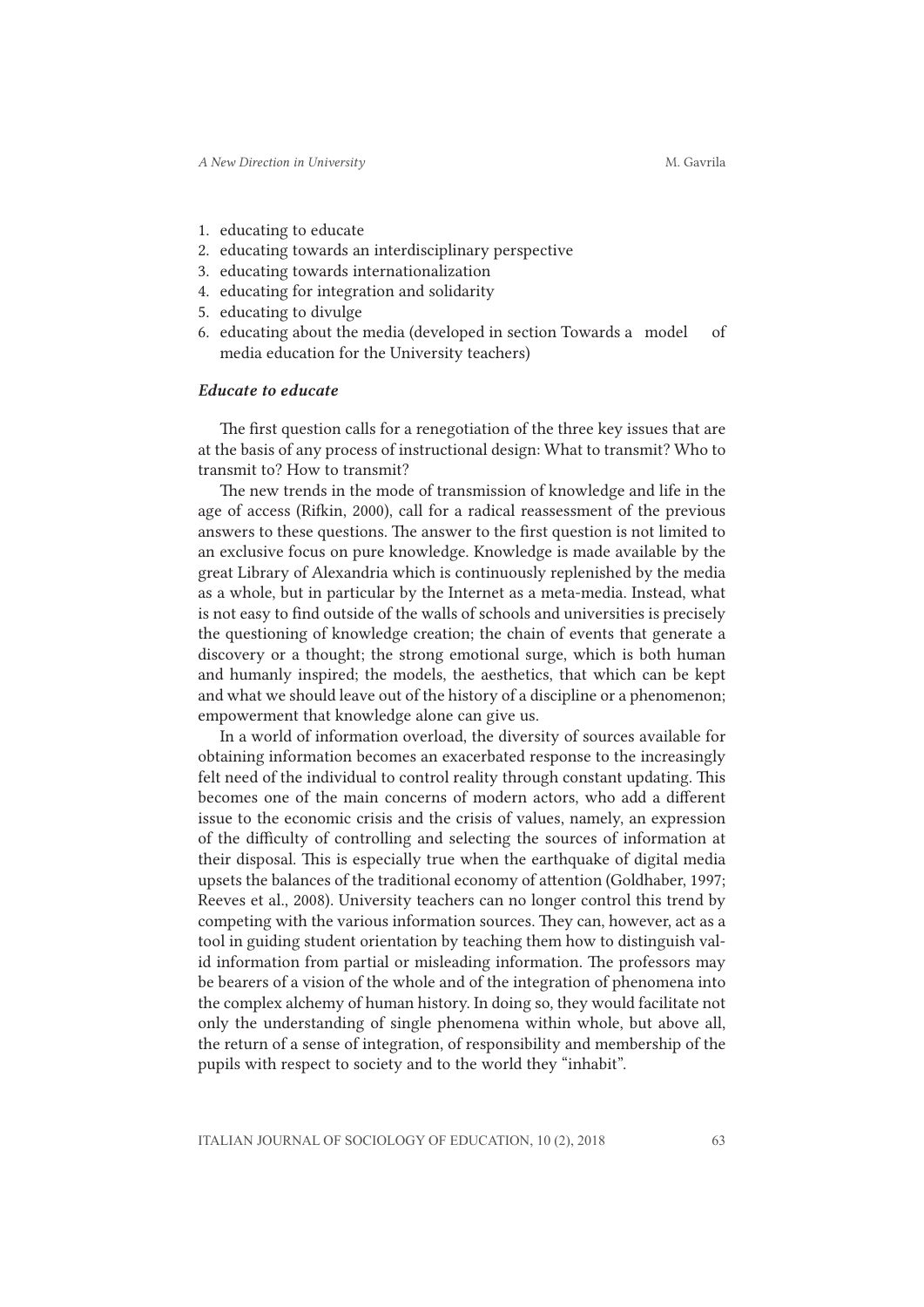- 1. educating to educate
- 2. educating towards an interdisciplinary perspective
- 3. educating towards internationalization
- 4. educating for integration and solidarity
- 5. educating to divulge
- 6. educating about the media (developed in section Towards a model of media education for the University teachers)

### *Educate to educate*

The first question calls for a renegotiation of the three key issues that are at the basis of any process of instructional design: What to transmit? Who to transmit to? How to transmit?

The new trends in the mode of transmission of knowledge and life in the age of access (Rifkin, 2000), call for a radical reassessment of the previous answers to these questions. The answer to the first question is not limited to an exclusive focus on pure knowledge. Knowledge is made available by the great Library of Alexandria which is continuously replenished by the media as a whole, but in particular by the Internet as a meta-media. Instead, what is not easy to find outside of the walls of schools and universities is precisely the questioning of knowledge creation; the chain of events that generate a discovery or a thought; the strong emotional surge, which is both human and humanly inspired; the models, the aesthetics, that which can be kept and what we should leave out of the history of a discipline or a phenomenon; empowerment that knowledge alone can give us.

In a world of information overload, the diversity of sources available for obtaining information becomes an exacerbated response to the increasingly felt need of the individual to control reality through constant updating. This becomes one of the main concerns of modern actors, who add a different issue to the economic crisis and the crisis of values, namely, an expression of the difficulty of controlling and selecting the sources of information at their disposal. This is especially true when the earthquake of digital media upsets the balances of the traditional economy of attention (Goldhaber, 1997; Reeves et al., 2008). University teachers can no longer control this trend by competing with the various information sources. They can, however, act as a tool in guiding student orientation by teaching them how to distinguish valid information from partial or misleading information. The professors may be bearers of a vision of the whole and of the integration of phenomena into the complex alchemy of human history. In doing so, they would facilitate not only the understanding of single phenomena within whole, but above all, the return of a sense of integration, of responsibility and membership of the pupils with respect to society and to the world they "inhabit".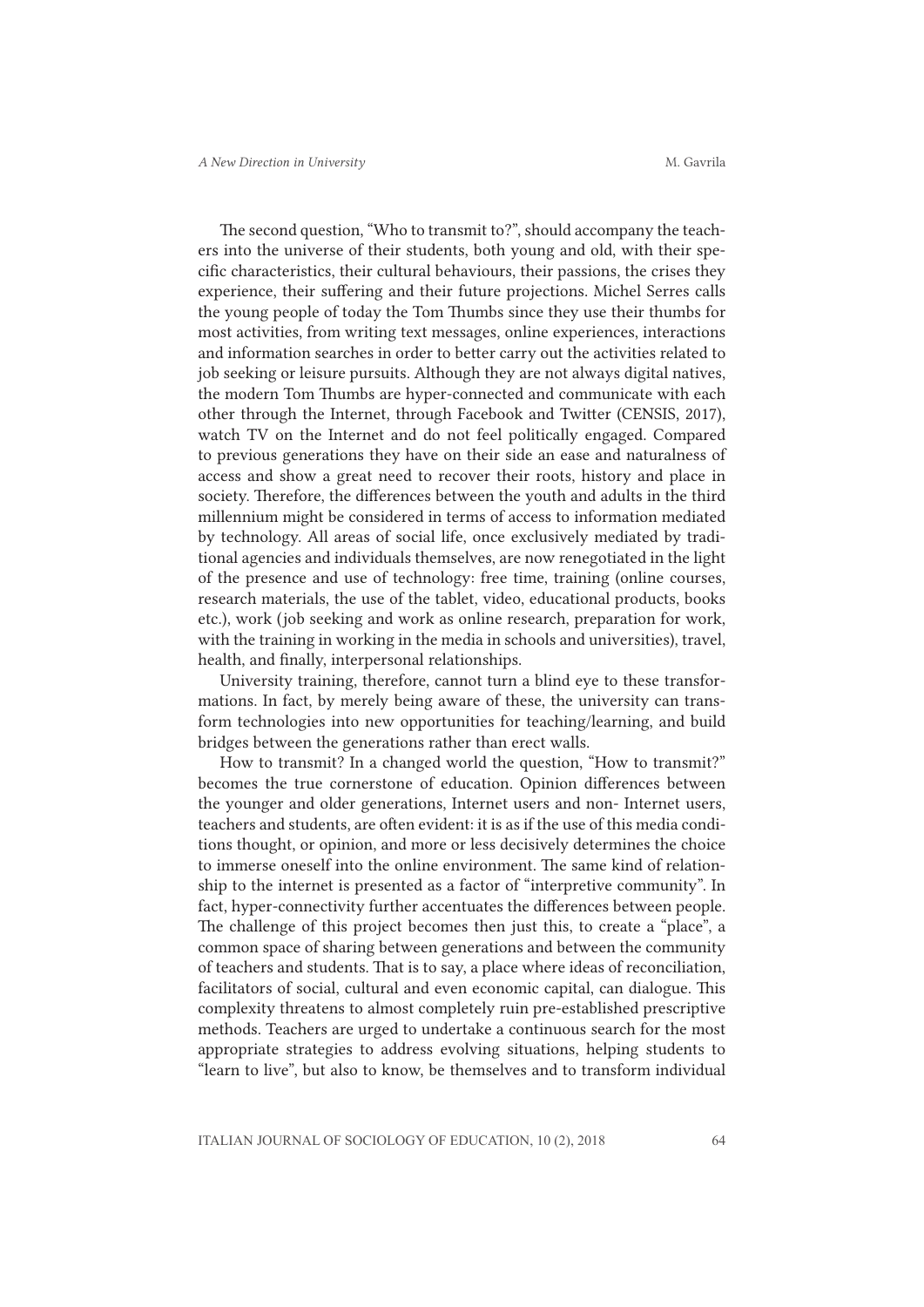The second question, "Who to transmit to?", should accompany the teachers into the universe of their students, both young and old, with their specific characteristics, their cultural behaviours, their passions, the crises they experience, their suffering and their future projections. Michel Serres calls the young people of today the Tom Thumbs since they use their thumbs for most activities, from writing text messages, online experiences, interactions and information searches in order to better carry out the activities related to job seeking or leisure pursuits. Although they are not always digital natives, the modern Tom Thumbs are hyper-connected and communicate with each other through the Internet, through Facebook and Twitter (CENSIS, 2017), watch TV on the Internet and do not feel politically engaged. Compared to previous generations they have on their side an ease and naturalness of access and show a great need to recover their roots, history and place in society. Therefore, the differences between the youth and adults in the third millennium might be considered in terms of access to information mediated by technology. All areas of social life, once exclusively mediated by traditional agencies and individuals themselves, are now renegotiated in the light of the presence and use of technology: free time, training (online courses, research materials, the use of the tablet, video, educational products, books etc.), work (job seeking and work as online research, preparation for work, with the training in working in the media in schools and universities), travel, health, and finally, interpersonal relationships.

University training, therefore, cannot turn a blind eye to these transformations. In fact, by merely being aware of these, the university can transform technologies into new opportunities for teaching/learning, and build bridges between the generations rather than erect walls.

How to transmit? In a changed world the question, "How to transmit?" becomes the true cornerstone of education. Opinion differences between the younger and older generations, Internet users and non- Internet users, teachers and students, are often evident: it is as if the use of this media conditions thought, or opinion, and more or less decisively determines the choice to immerse oneself into the online environment. The same kind of relationship to the internet is presented as a factor of "interpretive community". In fact, hyper-connectivity further accentuates the differences between people. The challenge of this project becomes then just this, to create a "place", a common space of sharing between generations and between the community of teachers and students. That is to say, a place where ideas of reconciliation, facilitators of social, cultural and even economic capital, can dialogue. This complexity threatens to almost completely ruin pre-established prescriptive methods. Teachers are urged to undertake a continuous search for the most appropriate strategies to address evolving situations, helping students to "learn to live", but also to know, be themselves and to transform individual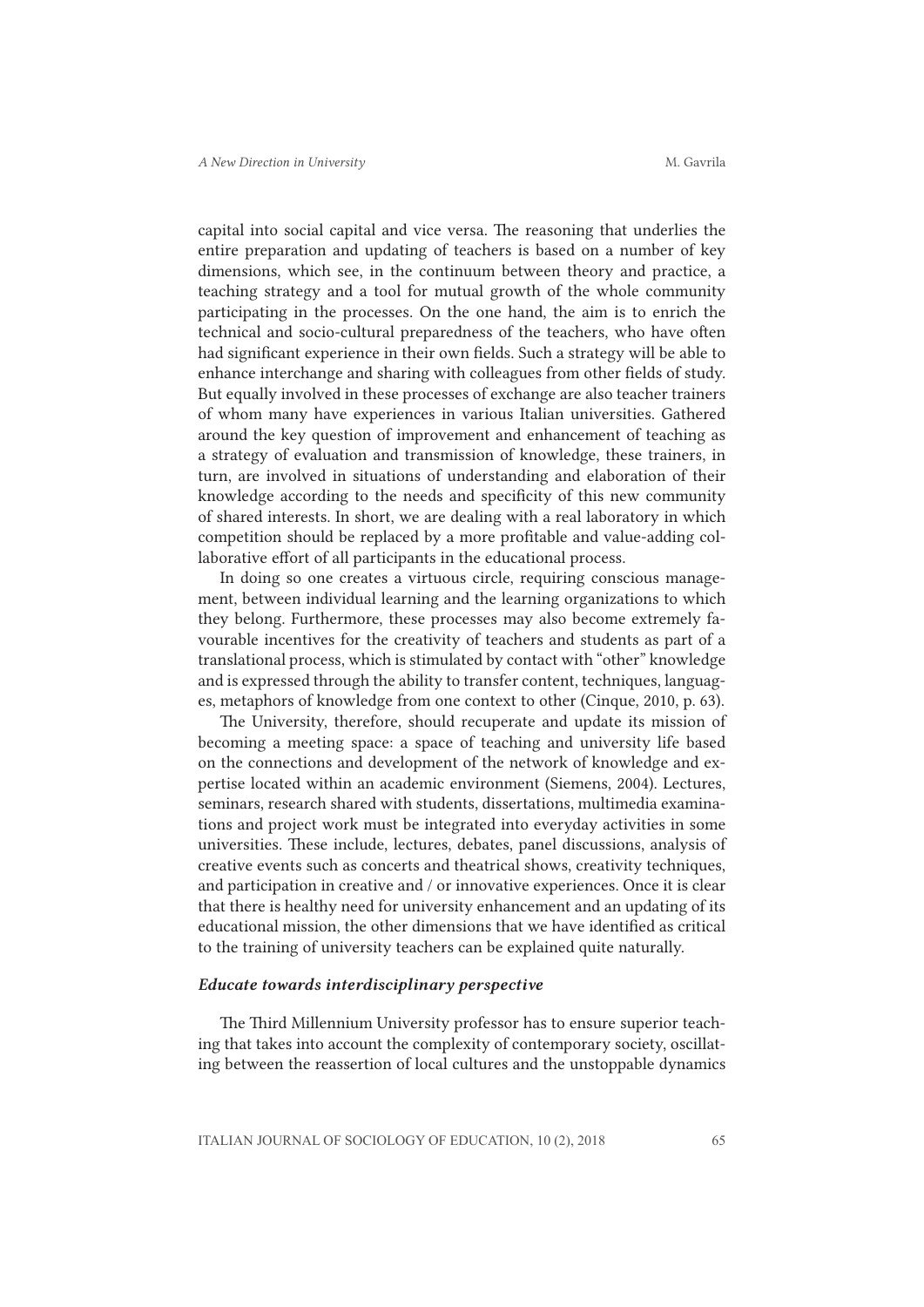capital into social capital and vice versa. The reasoning that underlies the entire preparation and updating of teachers is based on a number of key dimensions, which see, in the continuum between theory and practice, a teaching strategy and a tool for mutual growth of the whole community participating in the processes. On the one hand, the aim is to enrich the technical and socio-cultural preparedness of the teachers, who have often had significant experience in their own fields. Such a strategy will be able to enhance interchange and sharing with colleagues from other fields of study. But equally involved in these processes of exchange are also teacher trainers of whom many have experiences in various Italian universities. Gathered around the key question of improvement and enhancement of teaching as a strategy of evaluation and transmission of knowledge, these trainers, in turn, are involved in situations of understanding and elaboration of their knowledge according to the needs and specificity of this new community of shared interests. In short, we are dealing with a real laboratory in which competition should be replaced by a more profitable and value-adding collaborative effort of all participants in the educational process.

In doing so one creates a virtuous circle, requiring conscious management, between individual learning and the learning organizations to which they belong. Furthermore, these processes may also become extremely favourable incentives for the creativity of teachers and students as part of a translational process, which is stimulated by contact with "other" knowledge and is expressed through the ability to transfer content, techniques, languages, metaphors of knowledge from one context to other (Cinque, 2010, p. 63).

The University, therefore, should recuperate and update its mission of becoming a meeting space: a space of teaching and university life based on the connections and development of the network of knowledge and expertise located within an academic environment (Siemens, 2004). Lectures, seminars, research shared with students, dissertations, multimedia examinations and project work must be integrated into everyday activities in some universities. These include, lectures, debates, panel discussions, analysis of creative events such as concerts and theatrical shows, creativity techniques, and participation in creative and / or innovative experiences. Once it is clear that there is healthy need for university enhancement and an updating of its educational mission, the other dimensions that we have identified as critical to the training of university teachers can be explained quite naturally.

### *Educate towards interdisciplinary perspective*

The Third Millennium University professor has to ensure superior teaching that takes into account the complexity of contemporary society, oscillating between the reassertion of local cultures and the unstoppable dynamics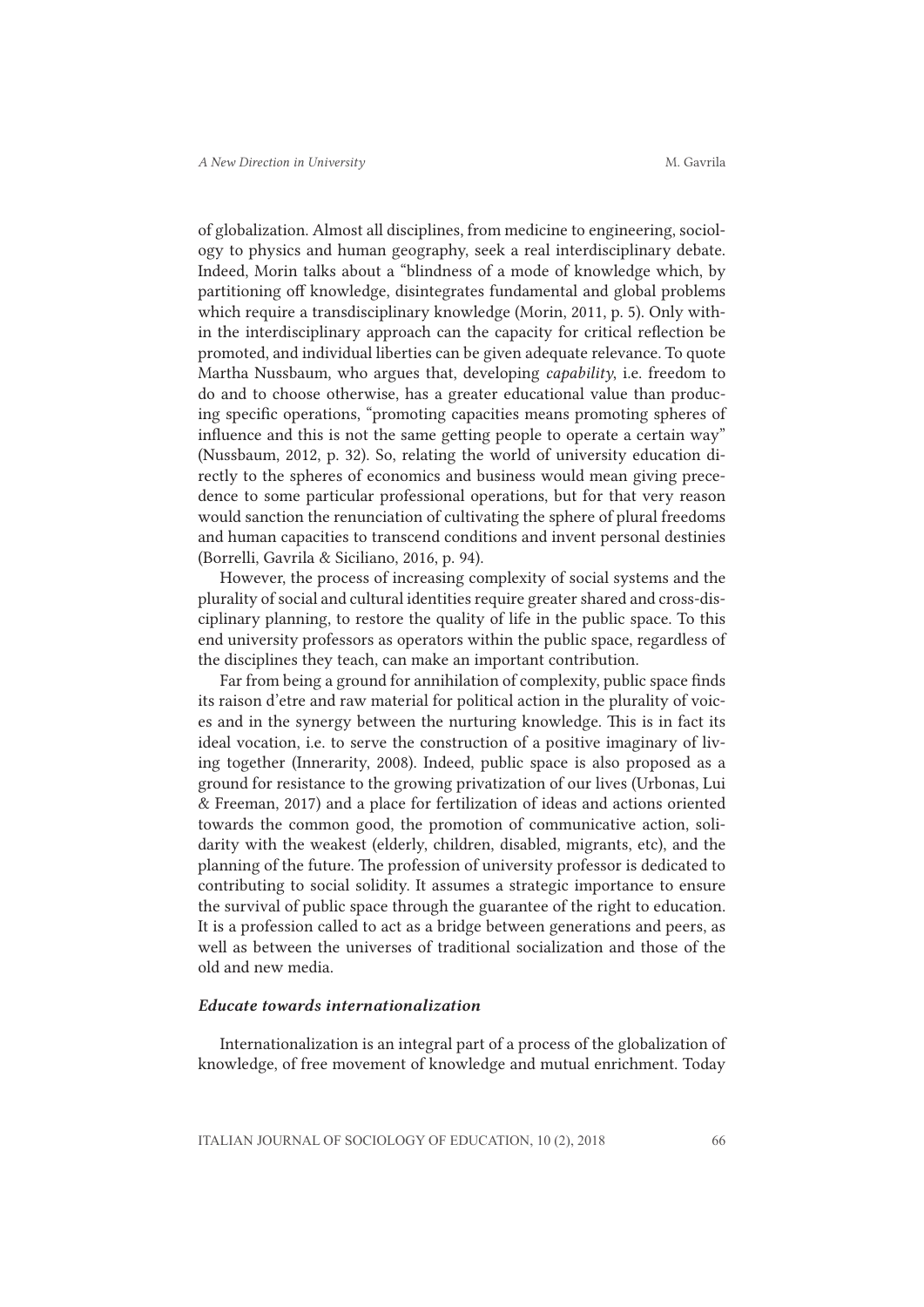of globalization. Almost all disciplines, from medicine to engineering, sociology to physics and human geography, seek a real interdisciplinary debate. Indeed, Morin talks about a "blindness of a mode of knowledge which, by partitioning off knowledge, disintegrates fundamental and global problems which require a transdisciplinary knowledge (Morin, 2011, p. 5). Only within the interdisciplinary approach can the capacity for critical reflection be promoted, and individual liberties can be given adequate relevance. To quote Martha Nussbaum, who argues that, developing *capability*, i.e. freedom to do and to choose otherwise, has a greater educational value than producing specific operations, "promoting capacities means promoting spheres of influence and this is not the same getting people to operate a certain way" (Nussbaum, 2012, p. 32). So, relating the world of university education directly to the spheres of economics and business would mean giving precedence to some particular professional operations, but for that very reason would sanction the renunciation of cultivating the sphere of plural freedoms and human capacities to transcend conditions and invent personal destinies (Borrelli, Gavrila & Siciliano, 2016, p. 94).

However, the process of increasing complexity of social systems and the plurality of social and cultural identities require greater shared and cross-disciplinary planning, to restore the quality of life in the public space. To this end university professors as operators within the public space, regardless of the disciplines they teach, can make an important contribution.

Far from being a ground for annihilation of complexity, public space finds its raison d'etre and raw material for political action in the plurality of voices and in the synergy between the nurturing knowledge. This is in fact its ideal vocation, i.e. to serve the construction of a positive imaginary of living together (Innerarity, 2008). Indeed, public space is also proposed as a ground for resistance to the growing privatization of our lives (Urbonas, Lui & Freeman, 2017) and a place for fertilization of ideas and actions oriented towards the common good, the promotion of communicative action, solidarity with the weakest (elderly, children, disabled, migrants, etc), and the planning of the future. The profession of university professor is dedicated to contributing to social solidity. It assumes a strategic importance to ensure the survival of public space through the guarantee of the right to education. It is a profession called to act as a bridge between generations and peers, as well as between the universes of traditional socialization and those of the old and new media.

#### *Educate towards internationalization*

Internationalization is an integral part of a process of the globalization of knowledge, of free movement of knowledge and mutual enrichment. Today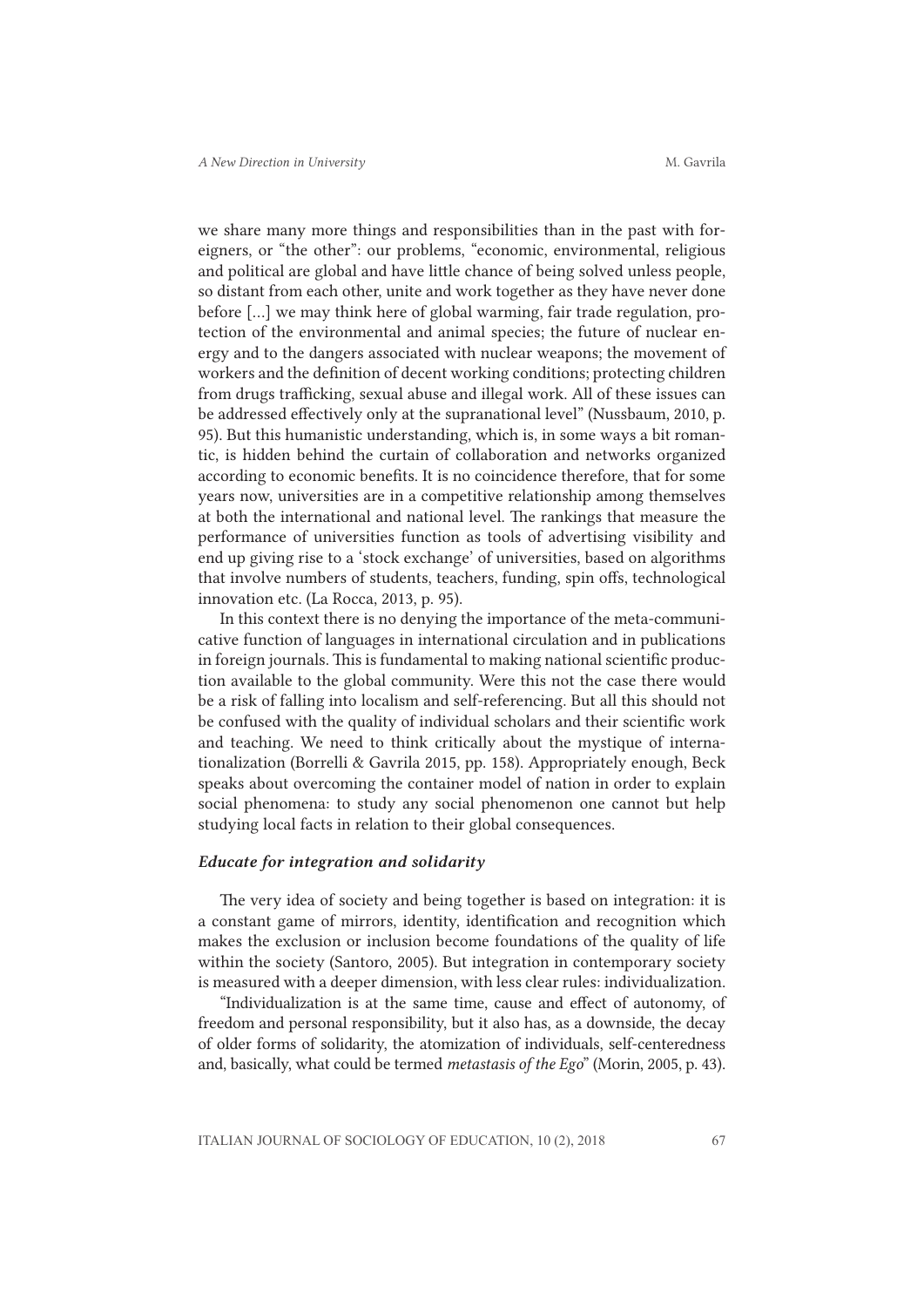we share many more things and responsibilities than in the past with foreigners, or "the other": our problems, "economic, environmental, religious and political are global and have little chance of being solved unless people, so distant from each other, unite and work together as they have never done before [...] we may think here of global warming, fair trade regulation, protection of the environmental and animal species; the future of nuclear energy and to the dangers associated with nuclear weapons; the movement of workers and the definition of decent working conditions; protecting children from drugs trafficking, sexual abuse and illegal work. All of these issues can be addressed effectively only at the supranational level" (Nussbaum, 2010, p. 95). But this humanistic understanding, which is, in some ways a bit romantic, is hidden behind the curtain of collaboration and networks organized according to economic benefits. It is no coincidence therefore, that for some years now, universities are in a competitive relationship among themselves at both the international and national level. The rankings that measure the performance of universities function as tools of advertising visibility and end up giving rise to a 'stock exchange' of universities, based on algorithms that involve numbers of students, teachers, funding, spin offs, technological innovation etc. (La Rocca, 2013, p. 95).

In this context there is no denying the importance of the meta-communicative function of languages in international circulation and in publications in foreign journals. This is fundamental to making national scientific production available to the global community. Were this not the case there would be a risk of falling into localism and self-referencing. But all this should not be confused with the quality of individual scholars and their scientific work and teaching. We need to think critically about the mystique of internationalization (Borrelli & Gavrila 2015, pp. 158). Appropriately enough, Beck speaks about overcoming the container model of nation in order to explain social phenomena: to study any social phenomenon one cannot but help studying local facts in relation to their global consequences.

#### *Educate for integration and solidarity*

The very idea of society and being together is based on integration: it is a constant game of mirrors, identity, identification and recognition which makes the exclusion or inclusion become foundations of the quality of life within the society (Santoro, 2005). But integration in contemporary society is measured with a deeper dimension, with less clear rules: individualization.

"Individualization is at the same time, cause and effect of autonomy, of freedom and personal responsibility, but it also has, as a downside, the decay of older forms of solidarity, the atomization of individuals, self-centeredness and, basically, what could be termed *metastasis of the Ego*" (Morin, 2005, p. 43).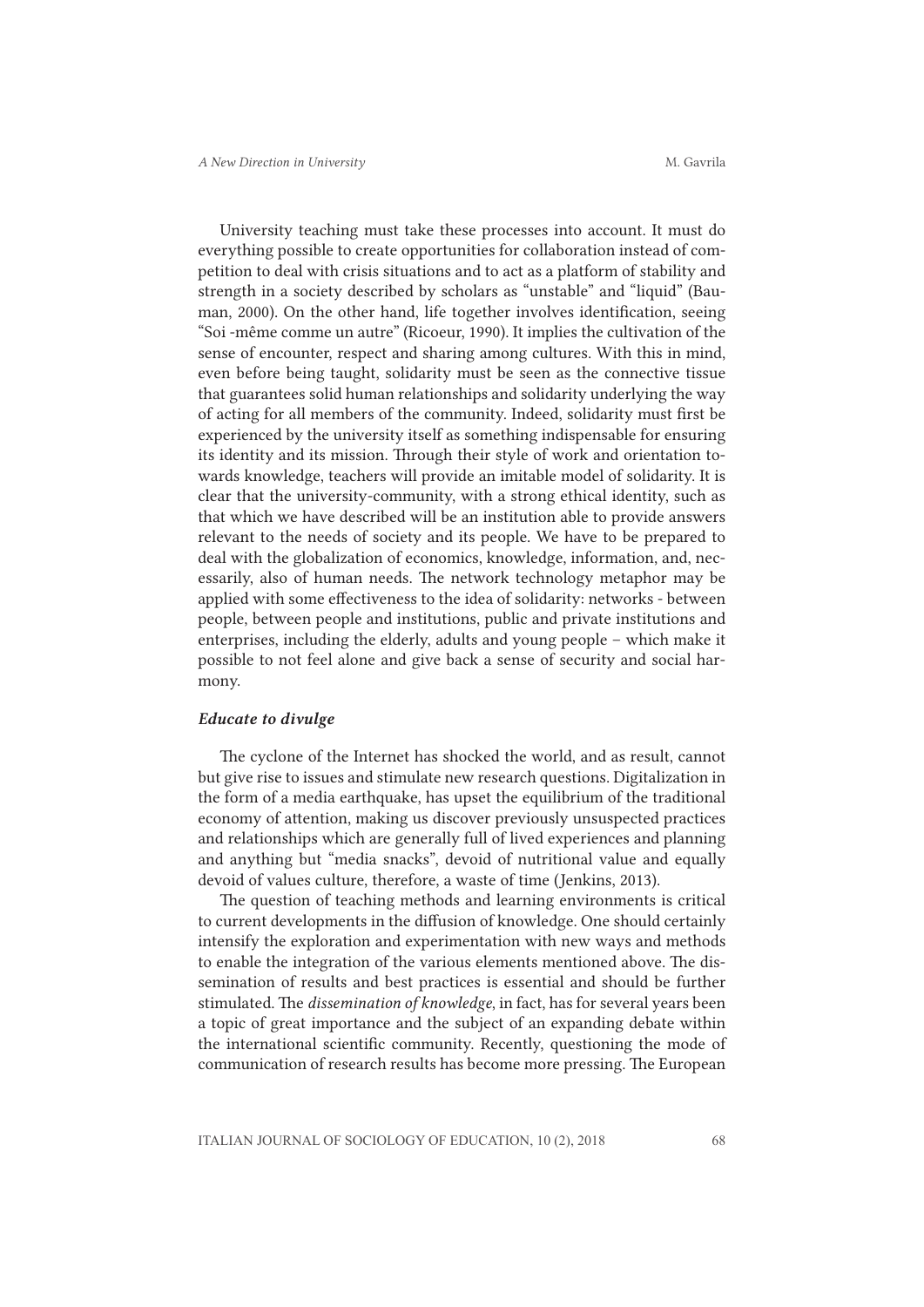University teaching must take these processes into account. It must do everything possible to create opportunities for collaboration instead of competition to deal with crisis situations and to act as a platform of stability and strength in a society described by scholars as "unstable" and "liquid" (Bauman, 2000). On the other hand, life together involves identification, seeing "Soi -même comme un autre" (Ricoeur, 1990). It implies the cultivation of the sense of encounter, respect and sharing among cultures. With this in mind, even before being taught, solidarity must be seen as the connective tissue that guarantees solid human relationships and solidarity underlying the way of acting for all members of the community. Indeed, solidarity must first be experienced by the university itself as something indispensable for ensuring its identity and its mission. Through their style of work and orientation towards knowledge, teachers will provide an imitable model of solidarity. It is clear that the university-community, with a strong ethical identity, such as that which we have described will be an institution able to provide answers relevant to the needs of society and its people. We have to be prepared to deal with the globalization of economics, knowledge, information, and, necessarily, also of human needs. The network technology metaphor may be applied with some effectiveness to the idea of solidarity: networks - between people, between people and institutions, public and private institutions and enterprises, including the elderly, adults and young people – which make it possible to not feel alone and give back a sense of security and social harmony.

#### *Educate to divulge*

The cyclone of the Internet has shocked the world, and as result, cannot but give rise to issues and stimulate new research questions. Digitalization in the form of a media earthquake, has upset the equilibrium of the traditional economy of attention, making us discover previously unsuspected practices and relationships which are generally full of lived experiences and planning and anything but "media snacks", devoid of nutritional value and equally devoid of values culture, therefore, a waste of time (Jenkins, 2013).

The question of teaching methods and learning environments is critical to current developments in the diffusion of knowledge. One should certainly intensify the exploration and experimentation with new ways and methods to enable the integration of the various elements mentioned above. The dissemination of results and best practices is essential and should be further stimulated. The *dissemination of knowledge*, in fact, has for several years been a topic of great importance and the subject of an expanding debate within the international scientific community. Recently, questioning the mode of communication of research results has become more pressing. The European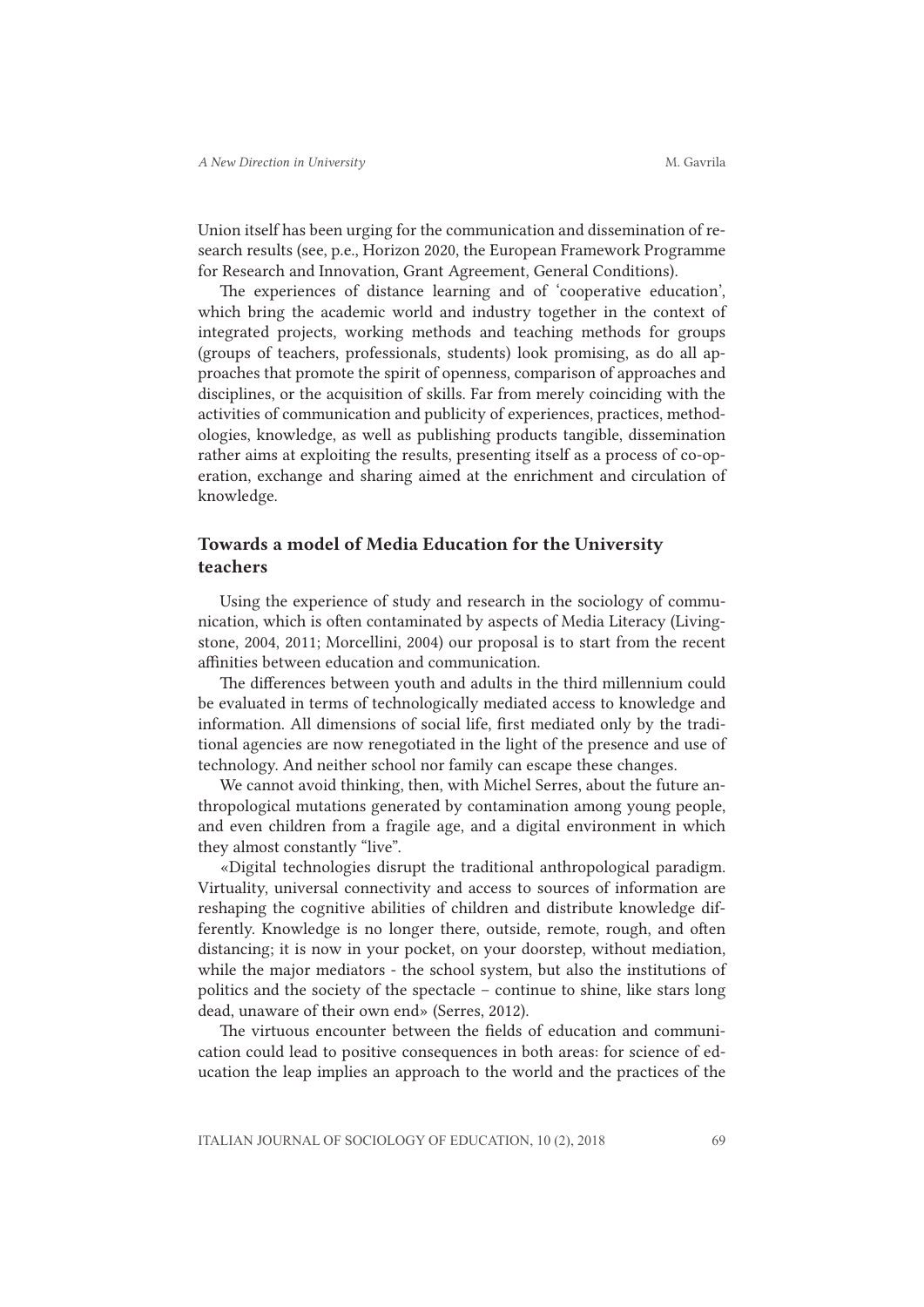Union itself has been urging for the communication and dissemination of research results (see, p.e., Horizon 2020, the European Framework Programme for Research and Innovation, Grant Agreement, General Conditions).

The experiences of distance learning and of 'cooperative education', which bring the academic world and industry together in the context of integrated projects, working methods and teaching methods for groups (groups of teachers, professionals, students) look promising, as do all approaches that promote the spirit of openness, comparison of approaches and disciplines, or the acquisition of skills. Far from merely coinciding with the activities of communication and publicity of experiences, practices, methodologies, knowledge, as well as publishing products tangible, dissemination rather aims at exploiting the results, presenting itself as a process of co-operation, exchange and sharing aimed at the enrichment and circulation of knowledge.

# Towards a model of Media Education for the University teachers

Using the experience of study and research in the sociology of communication, which is often contaminated by aspects of Media Literacy (Livingstone, 2004, 2011; Morcellini, 2004) our proposal is to start from the recent affinities between education and communication.

The differences between youth and adults in the third millennium could be evaluated in terms of technologically mediated access to knowledge and information. All dimensions of social life, first mediated only by the traditional agencies are now renegotiated in the light of the presence and use of technology. And neither school nor family can escape these changes.

We cannot avoid thinking, then, with Michel Serres, about the future anthropological mutations generated by contamination among young people, and even children from a fragile age, and a digital environment in which they almost constantly "live".

«Digital technologies disrupt the traditional anthropological paradigm. Virtuality, universal connectivity and access to sources of information are reshaping the cognitive abilities of children and distribute knowledge differently. Knowledge is no longer there, outside, remote, rough, and often distancing; it is now in your pocket, on your doorstep, without mediation, while the major mediators - the school system, but also the institutions of politics and the society of the spectacle – continue to shine, like stars long dead, unaware of their own end» (Serres, 2012).

The virtuous encounter between the fields of education and communication could lead to positive consequences in both areas: for science of education the leap implies an approach to the world and the practices of the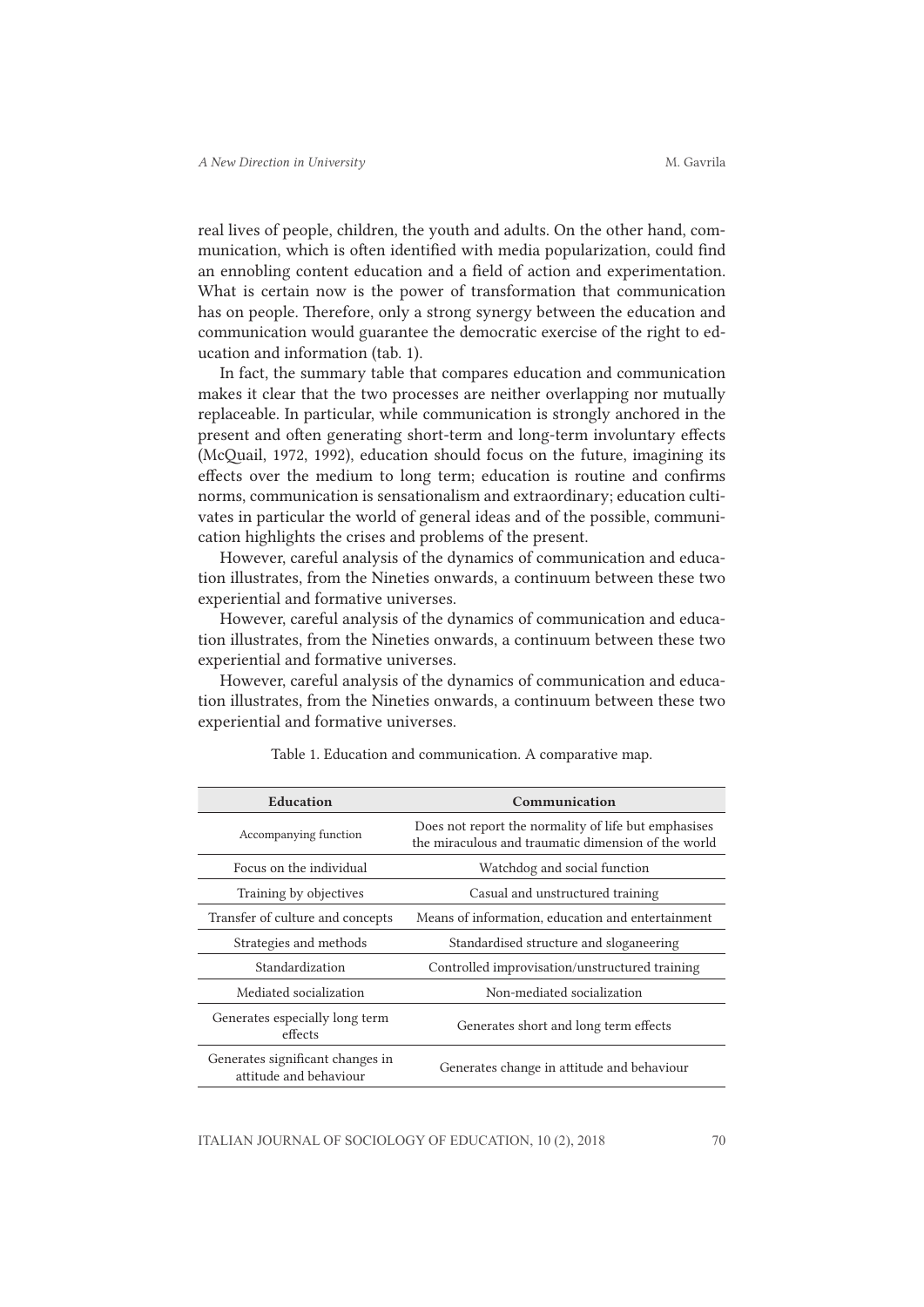real lives of people, children, the youth and adults. On the other hand, communication, which is often identified with media popularization, could find an ennobling content education and a field of action and experimentation. What is certain now is the power of transformation that communication has on people. Therefore, only a strong synergy between the education and communication would guarantee the democratic exercise of the right to education and information (tab. 1).

In fact, the summary table that compares education and communication makes it clear that the two processes are neither overlapping nor mutually replaceable. In particular, while communication is strongly anchored in the present and often generating short-term and long-term involuntary effects (McQuail, 1972, 1992), education should focus on the future, imagining its effects over the medium to long term; education is routine and confirms norms, communication is sensationalism and extraordinary; education cultivates in particular the world of general ideas and of the possible, communication highlights the crises and problems of the present.

However, careful analysis of the dynamics of communication and education illustrates, from the Nineties onwards, a continuum between these two experiential and formative universes.

However, careful analysis of the dynamics of communication and education illustrates, from the Nineties onwards, a continuum between these two experiential and formative universes.

However, careful analysis of the dynamics of communication and education illustrates, from the Nineties onwards, a continuum between these two experiential and formative universes.

| Education                                                  | Communication                                                                                               |
|------------------------------------------------------------|-------------------------------------------------------------------------------------------------------------|
| Accompanying function                                      | Does not report the normality of life but emphasises<br>the miraculous and traumatic dimension of the world |
| Focus on the individual                                    | Watchdog and social function                                                                                |
| Training by objectives                                     | Casual and unstructured training                                                                            |
| Transfer of culture and concepts                           | Means of information, education and entertainment                                                           |
| Strategies and methods                                     | Standardised structure and sloganeering                                                                     |
| Standardization                                            | Controlled improvisation/unstructured training                                                              |
| Mediated socialization                                     | Non-mediated socialization                                                                                  |
| Generates especially long term<br>effects                  | Generates short and long term effects                                                                       |
| Generates significant changes in<br>attitude and behaviour | Generates change in attitude and behaviour                                                                  |

Table 1. Education and communication. A comparative map.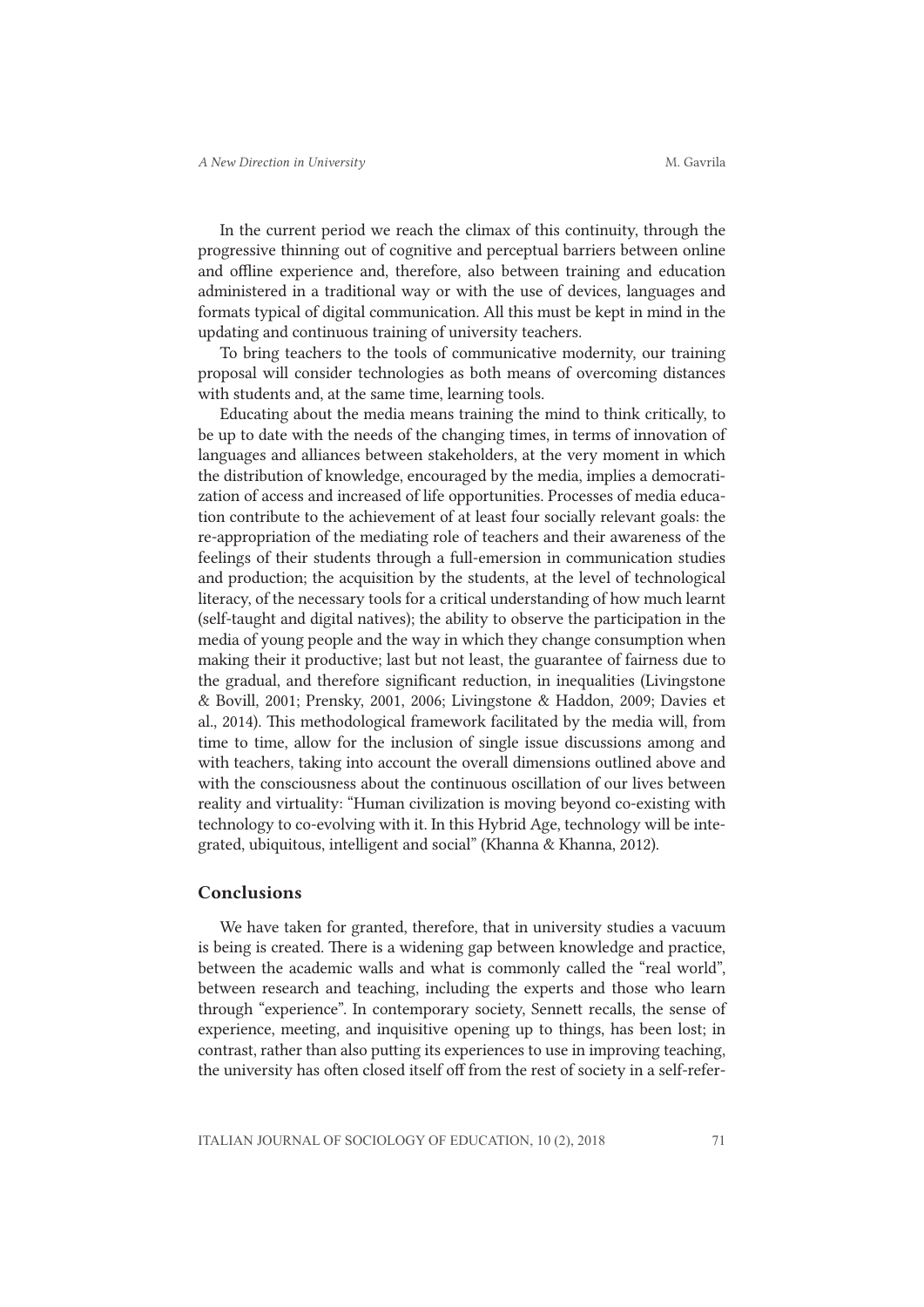In the current period we reach the climax of this continuity, through the progressive thinning out of cognitive and perceptual barriers between online and offline experience and, therefore, also between training and education administered in a traditional way or with the use of devices, languages and formats typical of digital communication. All this must be kept in mind in the updating and continuous training of university teachers.

To bring teachers to the tools of communicative modernity, our training proposal will consider technologies as both means of overcoming distances with students and, at the same time, learning tools.

Educating about the media means training the mind to think critically, to be up to date with the needs of the changing times, in terms of innovation of languages and alliances between stakeholders, at the very moment in which the distribution of knowledge, encouraged by the media, implies a democratization of access and increased of life opportunities. Processes of media education contribute to the achievement of at least four socially relevant goals: the re-appropriation of the mediating role of teachers and their awareness of the feelings of their students through a full-emersion in communication studies and production; the acquisition by the students, at the level of technological literacy, of the necessary tools for a critical understanding of how much learnt (self-taught and digital natives); the ability to observe the participation in the media of young people and the way in which they change consumption when making their it productive; last but not least, the guarantee of fairness due to the gradual, and therefore significant reduction, in inequalities (Livingstone & Bovill, 2001; Prensky, 2001, 2006; Livingstone & Haddon, 2009; Davies et al., 2014). This methodological framework facilitated by the media will, from time to time, allow for the inclusion of single issue discussions among and with teachers, taking into account the overall dimensions outlined above and with the consciousness about the continuous oscillation of our lives between reality and virtuality: "Human civilization is moving beyond co-existing with technology to co-evolving with it. In this Hybrid Age, technology will be integrated, ubiquitous, intelligent and social" (Khanna & Khanna, 2012).

#### Conclusions

We have taken for granted, therefore, that in university studies a vacuum is being is created. There is a widening gap between knowledge and practice, between the academic walls and what is commonly called the "real world", between research and teaching, including the experts and those who learn through "experience". In contemporary society, Sennett recalls, the sense of experience, meeting, and inquisitive opening up to things, has been lost; in contrast, rather than also putting its experiences to use in improving teaching, the university has often closed itself off from the rest of society in a self-refer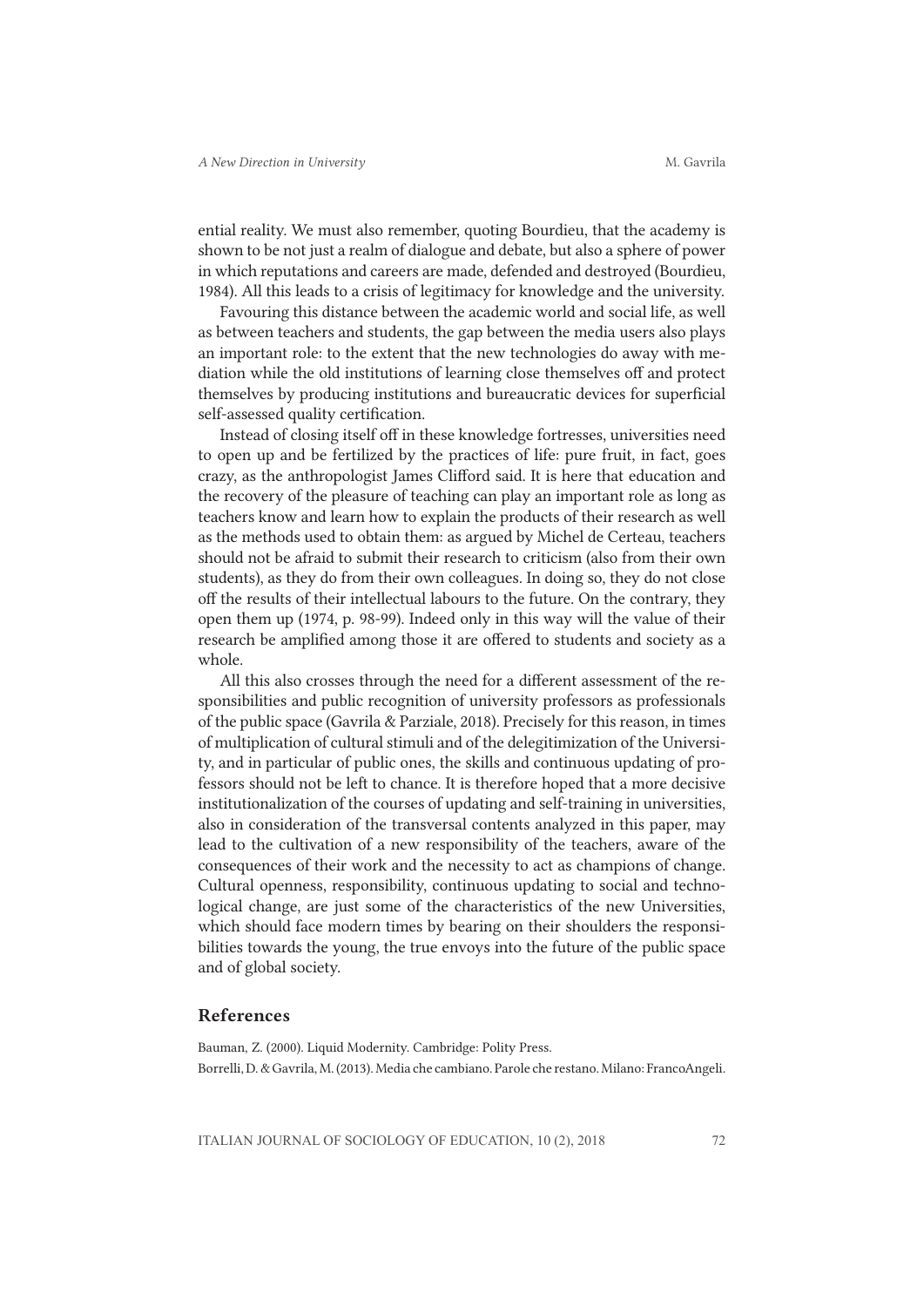ential reality. We must also remember, quoting Bourdieu, that the academy is shown to be not just a realm of dialogue and debate, but also a sphere of power in which reputations and careers are made, defended and destroyed (Bourdieu, 1984). All this leads to a crisis of legitimacy for knowledge and the university.

Favouring this distance between the academic world and social life, as well as between teachers and students, the gap between the media users also plays an important role: to the extent that the new technologies do away with mediation while the old institutions of learning close themselves off and protect themselves by producing institutions and bureaucratic devices for superficial self-assessed quality certification.

Instead of closing itself off in these knowledge fortresses, universities need to open up and be fertilized by the practices of life: pure fruit, in fact, goes crazy, as the anthropologist James Clifford said. It is here that education and the recovery of the pleasure of teaching can play an important role as long as teachers know and learn how to explain the products of their research as well as the methods used to obtain them: as argued by Michel de Certeau, teachers should not be afraid to submit their research to criticism (also from their own students), as they do from their own colleagues. In doing so, they do not close off the results of their intellectual labours to the future. On the contrary, they open them up (1974, p. 98-99). Indeed only in this way will the value of their research be amplified among those it are offered to students and society as a whole.

All this also crosses through the need for a different assessment of the responsibilities and public recognition of university professors as professionals of the public space (Gavrila & Parziale, 2018). Precisely for this reason, in times of multiplication of cultural stimuli and of the delegitimization of the University, and in particular of public ones, the skills and continuous updating of professors should not be left to chance. It is therefore hoped that a more decisive institutionalization of the courses of updating and self-training in universities, also in consideration of the transversal contents analyzed in this paper, may lead to the cultivation of a new responsibility of the teachers, aware of the consequences of their work and the necessity to act as champions of change. Cultural openness, responsibility, continuous updating to social and technological change, are just some of the characteristics of the new Universities, which should face modern times by bearing on their shoulders the responsibilities towards the young, the true envoys into the future of the public space and of global society.

## References

Bauman, Z. (2000). Liquid Modernity. Cambridge: Polity Press. Borrelli, D. & Gavrila, M. (2013). Media che cambiano. Parole che restano. Milano: FrancoAngeli.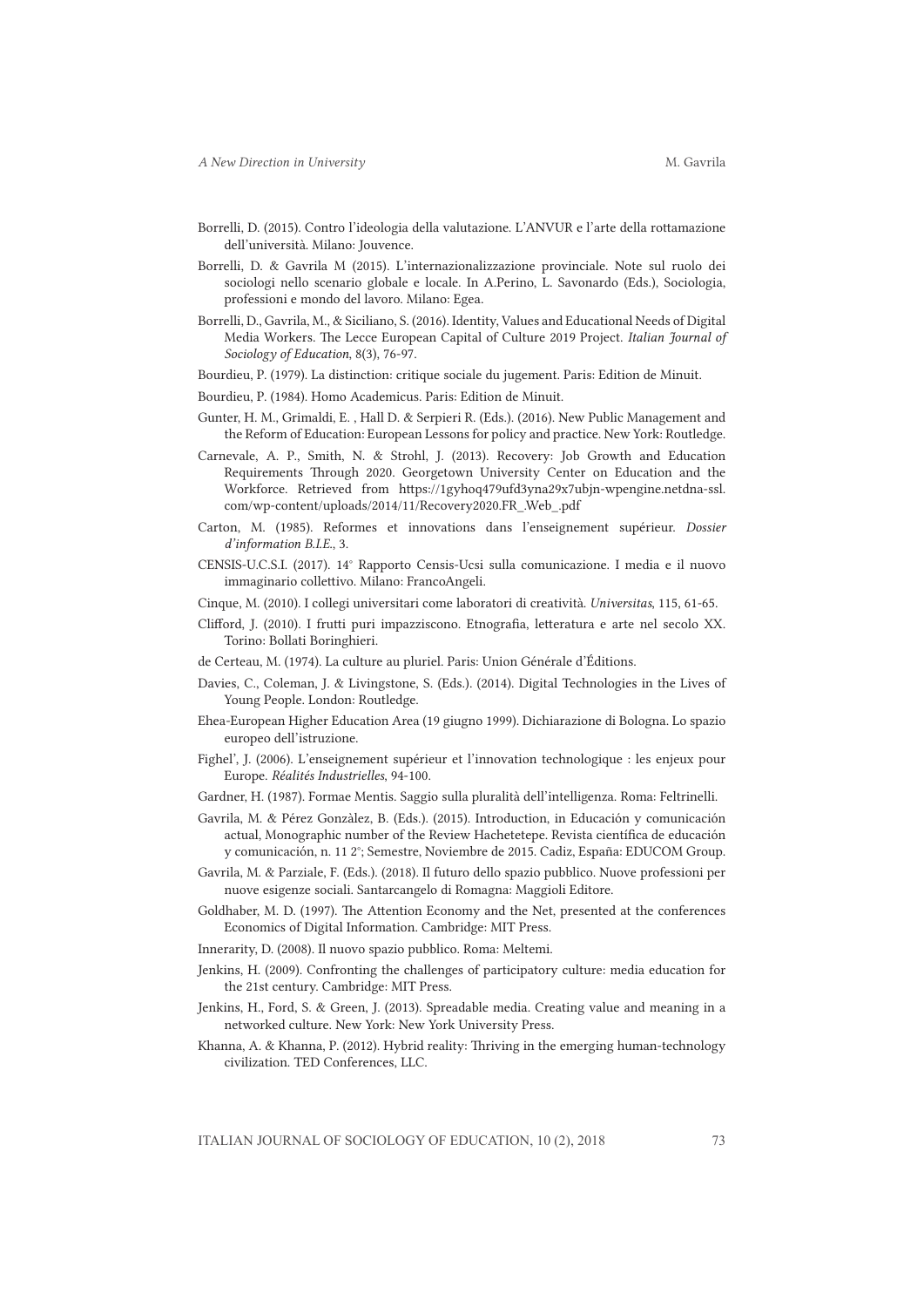- Borrelli, D. (2015). Contro l'ideologia della valutazione. L'ANVUR e l'arte della rottamazione dell'università. Milano: Jouvence.
- Borrelli, D. & Gavrila M (2015). L'internazionalizzazione provinciale. Note sul ruolo dei sociologi nello scenario globale e locale. In A.Perino, L. Savonardo (Eds.), Sociologia, professioni e mondo del lavoro. Milano: Egea.
- Borrelli, D., Gavrila, M., & Siciliano, S. (2016). Identity, Values and Educational Needs of Digital Media Workers. The Lecce European Capital of Culture 2019 Project. *Italian Journal of Sociology of Education*, 8(3), 76-97.
- Bourdieu, P. (1979). La distinction: critique sociale du jugement. Paris: Edition de Minuit.
- Bourdieu, P. (1984). Homo Academicus. Paris: Edition de Minuit.
- Gunter, H. M., Grimaldi, E. , Hall D. & Serpieri R. (Eds.). (2016). New Public Management and the Reform of Education: European Lessons for policy and practice. New York: Routledge.
- Carnevale, A. P., Smith, N. & Strohl, J. (2013). Recovery: Job Growth and Education Requirements Through 2020. Georgetown University Center on Education and the Workforce. Retrieved from https://1gyhoq479ufd3yna29x7ubjn-wpengine.netdna-ssl. com/wp-content/uploads/2014/11/Recovery2020.FR\_.Web\_.pdf
- Carton, M. (1985). Reformes et innovations dans l'enseignement supérieur. *Dossier d'information B.I.E.*, 3.
- CENSIS-U.C.S.I. (2017). 14° Rapporto Censis-Ucsi sulla comunicazione. I media e il nuovo immaginario collettivo. Milano: FrancoAngeli.
- Cinque, M. (2010). I collegi universitari come laboratori di creatività. *Universitas*, 115, 61-65.
- Clifford, J. (2010). I frutti puri impazziscono. Etnografia, letteratura e arte nel secolo XX. Torino: Bollati Boringhieri.
- de Certeau, M. (1974). La culture au pluriel. Paris: Union Générale d'Éditions.
- Davies, C., Coleman, J. & Livingstone, S. (Eds.). (2014). Digital Technologies in the Lives of Young People. London: Routledge.
- Ehea-European Higher Education Area (19 giugno 1999). Dichiarazione di Bologna. Lo spazio europeo dell'istruzione.
- Fighel', J. (2006). L'enseignement supérieur et l'innovation technologique : les enjeux pour Europe. *Réalités Industrielles*, 94-100.
- Gardner, H. (1987). Formae Mentis. Saggio sulla pluralità dell'intelligenza. Roma: Feltrinelli.
- Gavrila, M. & Pérez Gonzàlez, B. (Eds.). (2015). Introduction, in Educación y comunicación actual, Monographic number of the Review Hachetetepe. Revista científica de educación y comunicación, n. 11 2°; Semestre, Noviembre de 2015. Cadiz, España: EDUCOM Group.
- Gavrila, M. & Parziale, F. (Eds.). (2018). Il futuro dello spazio pubblico. Nuove professioni per nuove esigenze sociali. Santarcangelo di Romagna: Maggioli Editore.
- Goldhaber, M. D. (1997). The Attention Economy and the Net, presented at the conferences Economics of Digital Information. Cambridge: MIT Press.
- Innerarity, D. (2008). Il nuovo spazio pubblico. Roma: Meltemi.
- Jenkins, H. (2009). Confronting the challenges of participatory culture: media education for the 21st century. Cambridge: MIT Press.
- Jenkins, H., Ford, S. & Green, J. (2013). Spreadable media. Creating value and meaning in a networked culture. New York: New York University Press.
- Khanna, A. & Khanna, P. (2012). Hybrid reality: Thriving in the emerging human-technology civilization. TED Conferences, LLC.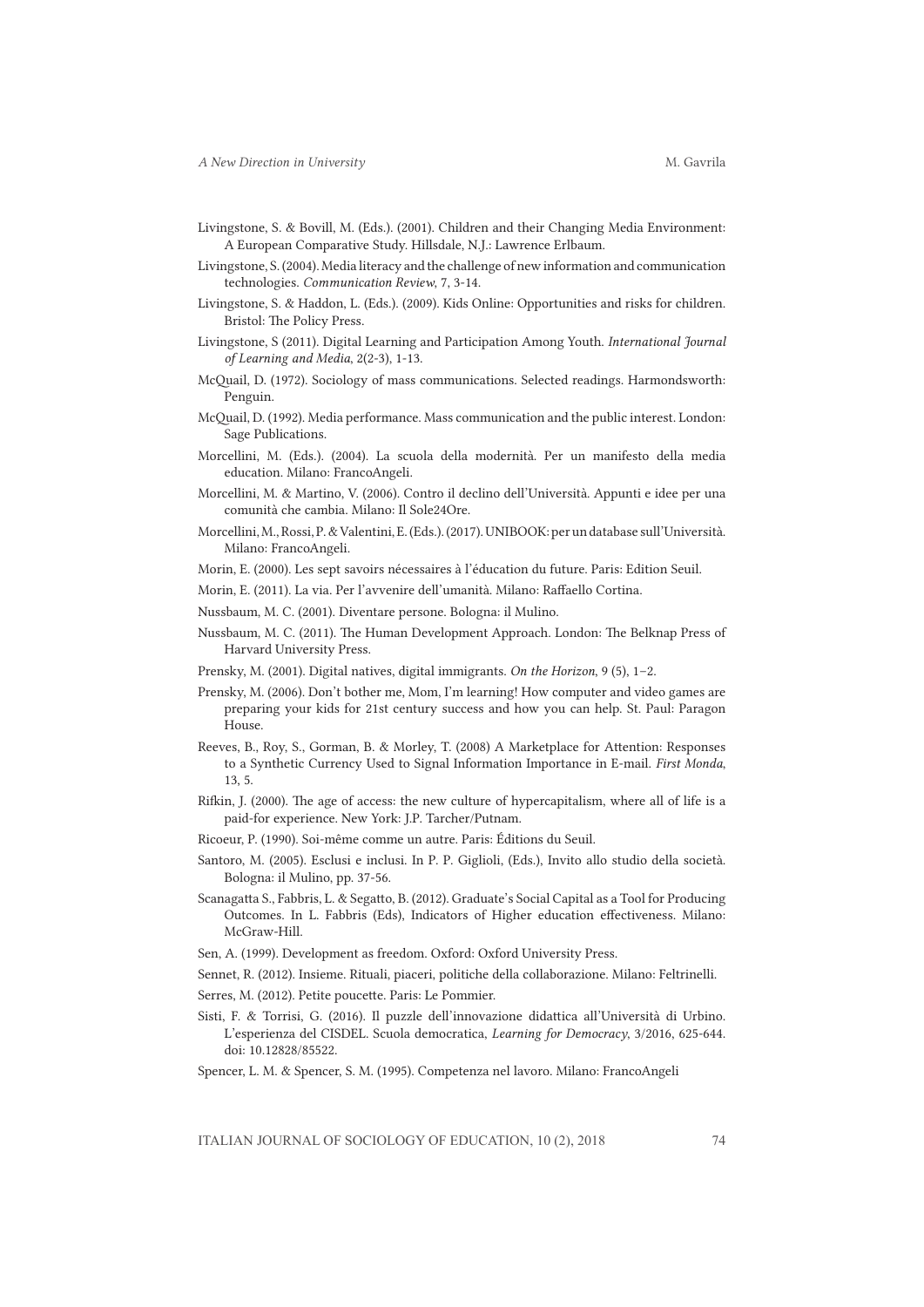- Livingstone, S. & Bovill, M. (Eds.). (2001). Children and their Changing Media Environment: A European Comparative Study. Hillsdale, N.J.: Lawrence Erlbaum.
- Livingstone, S. (2004). Media literacy and the challenge of new information and communication technologies. *Communication Review*, 7, 3-14.
- Livingstone, S. & Haddon, L. (Eds.). (2009). Kids Online: Opportunities and risks for children. Bristol: The Policy Press.
- Livingstone, S (2011). Digital Learning and Participation Among Youth. *International Journal of Learning and Media*, 2(2-3), 1-13.
- McQuail, D. (1972). Sociology of mass communications. Selected readings. Harmondsworth: Penguin.
- McQuail, D. (1992). Media performance. Mass communication and the public interest. London: Sage Publications.
- Morcellini, M. (Eds.). (2004). La scuola della modernità. Per un manifesto della media education. Milano: FrancoAngeli.
- Morcellini, M. & Martino, V. (2006). Contro il declino dell'Università. Appunti e idee per una comunità che cambia. Milano: Il Sole24Ore.
- Morcellini, M., Rossi, P. & Valentini, E. (Eds.). (2017). UNIBOOK: per un database sull'Università. Milano: FrancoAngeli.
- Morin, E. (2000). Les sept savoirs nécessaires à l'éducation du future. Paris: Edition Seuil.
- Morin, E. (2011). La via. Per l'avvenire dell'umanità. Milano: Raffaello Cortina.
- Nussbaum, M. C. (2001). Diventare persone. Bologna: il Mulino.
- Nussbaum, M. C. (2011). The Human Development Approach. London: The Belknap Press of Harvard University Press.
- Prensky, M. (2001). Digital natives, digital immigrants. *On the Horizon*, 9 (5), 1–2.
- Prensky, M. (2006). Don't bother me, Mom, I'm learning! How computer and video games are preparing your kids for 21st century success and how you can help. St. Paul: Paragon House.
- Reeves, B., Roy, S., Gorman, B. & Morley, T. (2008) A Marketplace for Attention: Responses to a Synthetic Currency Used to Signal Information Importance in E-mail. *First Monda*, 13, 5.
- Rifkin, J. (2000). The age of access: the new culture of hypercapitalism, where all of life is a paid-for experience. New York: J.P. Tarcher/Putnam.
- Ricoeur, P. (1990). Soi-même comme un autre. Paris: Éditions du Seuil.
- Santoro, M. (2005). Esclusi e inclusi. In P. P. Giglioli, (Eds.), Invito allo studio della società. Bologna: il Mulino, pp. 37-56.
- Scanagatta S., Fabbris, L. & Segatto, B. (2012). Graduate's Social Capital as a Tool for Producing Outcomes. In L. Fabbris (Eds), Indicators of Higher education effectiveness. Milano: McGraw-Hill.
- Sen, A. (1999). Development as freedom. Oxford: Oxford University Press.
- Sennet, R. (2012). Insieme. Rituali, piaceri, politiche della collaborazione. Milano: Feltrinelli.
- Serres, M. (2012). Petite poucette. Paris: Le Pommier.
- Sisti, F. & Torrisi, G. (2016). Il puzzle dell'innovazione didattica all'Università di Urbino. L'esperienza del CISDEL. Scuola democratica, *Learning for Democracy*, 3/2016, 625-644. doi: 10.12828/85522.
- Spencer, L. M. & Spencer, S. M. (1995). Competenza nel lavoro. Milano: FrancoAngeli